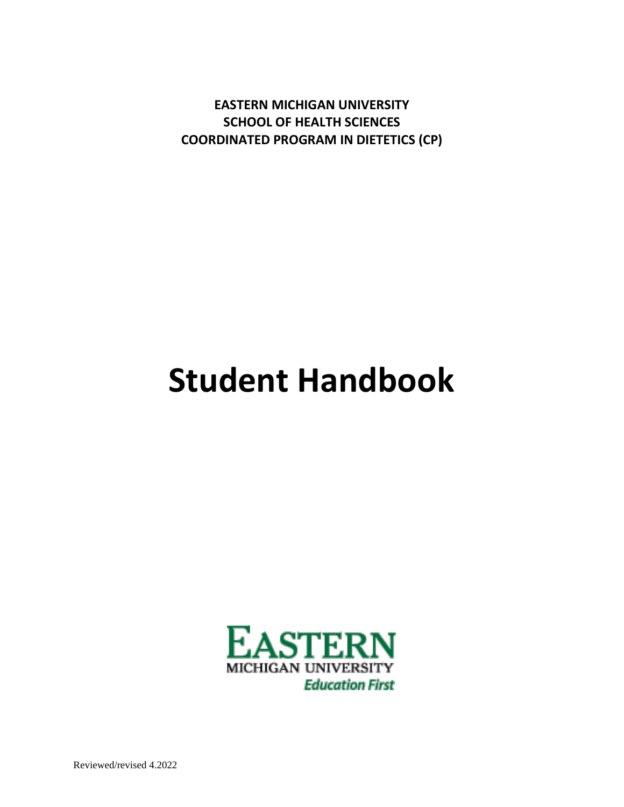**EASTERN MICHIGAN UNIVERSITY SCHOOL OF HEALTH SCIENCES COORDINATED PROGRAM IN DIETETICS (CP)**

# **Student Handbook**



Reviewed/revised 4.2022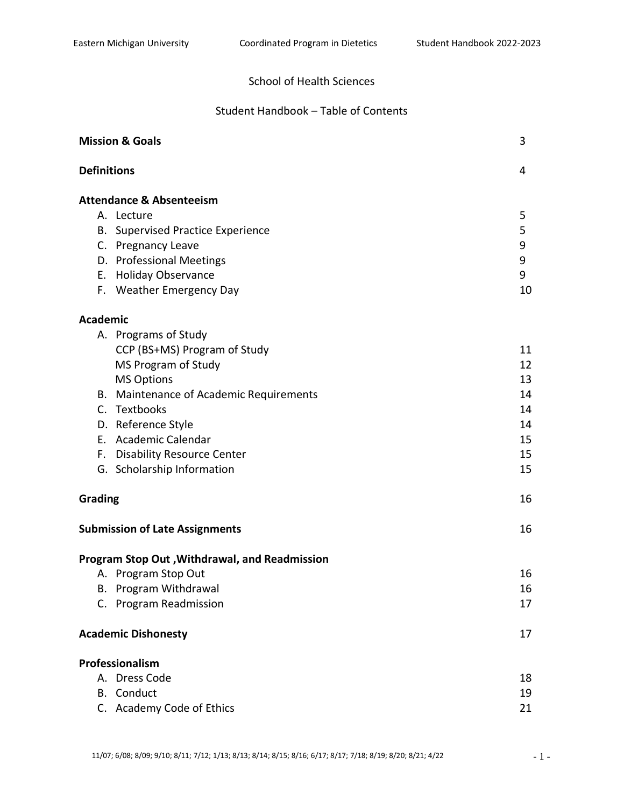# School of Health Sciences

# Student Handbook – Table of Contents

| <b>Mission &amp; Goals</b> |                                               | 3  |  |
|----------------------------|-----------------------------------------------|----|--|
|                            | <b>Definitions</b>                            |    |  |
|                            | <b>Attendance &amp; Absenteeism</b>           |    |  |
|                            | A. Lecture                                    | 5  |  |
|                            | <b>B.</b> Supervised Practice Experience      | 5  |  |
|                            | C. Pregnancy Leave                            | 9  |  |
|                            | D. Professional Meetings                      | 9  |  |
| Е.                         | <b>Holiday Observance</b>                     | 9  |  |
|                            | F. Weather Emergency Day                      | 10 |  |
| <b>Academic</b>            |                                               |    |  |
|                            | A. Programs of Study                          |    |  |
|                            | CCP (BS+MS) Program of Study                  | 11 |  |
|                            | MS Program of Study                           | 12 |  |
|                            | <b>MS Options</b>                             | 13 |  |
| В.                         | Maintenance of Academic Requirements          | 14 |  |
|                            | C. Textbooks                                  | 14 |  |
|                            | D. Reference Style                            | 14 |  |
|                            | E. Academic Calendar                          | 15 |  |
|                            | F. Disability Resource Center                 | 15 |  |
|                            | G. Scholarship Information                    | 15 |  |
|                            | Grading                                       |    |  |
|                            | <b>Submission of Late Assignments</b>         |    |  |
|                            | Program Stop Out, Withdrawal, and Readmission |    |  |
|                            | A. Program Stop Out                           | 16 |  |
|                            | B. Program Withdrawal                         | 16 |  |
|                            | C. Program Readmission                        | 17 |  |
|                            | <b>Academic Dishonesty</b>                    |    |  |
|                            | Professionalism                               |    |  |
|                            | A. Dress Code                                 | 18 |  |
|                            | <b>B.</b> Conduct                             | 19 |  |
|                            | C. Academy Code of Ethics                     | 21 |  |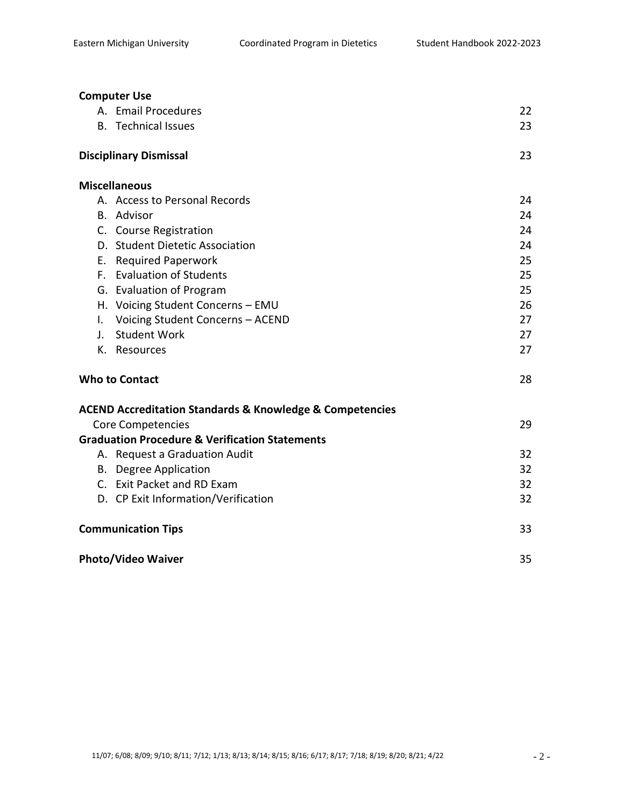| <b>Computer Use</b>                                                     |    |  |
|-------------------------------------------------------------------------|----|--|
| A. Email Procedures                                                     | 22 |  |
| <b>B.</b> Technical Issues                                              | 23 |  |
|                                                                         |    |  |
| <b>Disciplinary Dismissal</b>                                           | 23 |  |
| <b>Miscellaneous</b>                                                    |    |  |
| A. Access to Personal Records                                           | 24 |  |
| <b>B.</b> Advisor                                                       | 24 |  |
| C. Course Registration                                                  | 24 |  |
| D. Student Dietetic Association                                         | 24 |  |
| <b>Required Paperwork</b><br>Е.                                         | 25 |  |
| F. Evaluation of Students                                               | 25 |  |
| G. Evaluation of Program                                                | 25 |  |
| H. Voicing Student Concerns - EMU                                       | 26 |  |
| Voicing Student Concerns - ACEND<br>I.                                  | 27 |  |
| <b>Student Work</b><br>$\mathbf{J}_{\mathbf{r}}$                        | 27 |  |
| K. Resources                                                            | 27 |  |
| <b>Who to Contact</b>                                                   |    |  |
| <b>ACEND Accreditation Standards &amp; Knowledge &amp; Competencies</b> |    |  |
| <b>Core Competencies</b>                                                | 29 |  |
| <b>Graduation Procedure &amp; Verification Statements</b>               |    |  |
| A. Request a Graduation Audit                                           | 32 |  |
| <b>B.</b> Degree Application                                            | 32 |  |
| C. Exit Packet and RD Exam                                              | 32 |  |
| D. CP Exit Information/Verification                                     | 32 |  |
| <b>Communication Tips</b>                                               |    |  |
| <b>Photo/Video Waiver</b>                                               |    |  |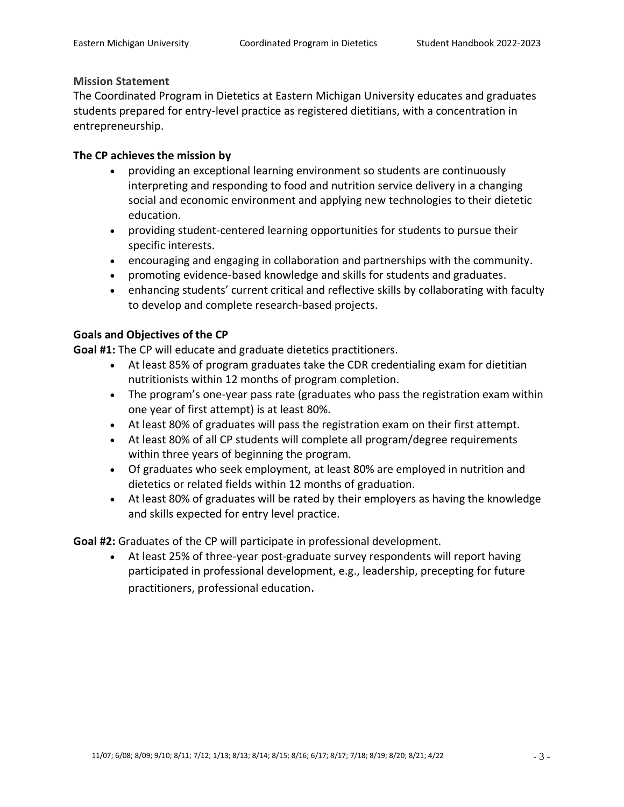#### **Mission Statement**

The Coordinated Program in Dietetics at Eastern Michigan University educates and graduates students prepared for entry-level practice as registered dietitians, with a concentration in entrepreneurship.

## **The CP achieves the mission by**

- providing an exceptional learning environment so students are continuously interpreting and responding to food and nutrition service delivery in a changing social and economic environment and applying new technologies to their dietetic education.
- providing student-centered learning opportunities for students to pursue their specific interests.
- encouraging and engaging in collaboration and partnerships with the community.
- promoting evidence-based knowledge and skills for students and graduates.
- enhancing students' current critical and reflective skills by collaborating with faculty to develop and complete research-based projects.

# **Goals and Objectives of the CP**

**Goal #1:** The CP will educate and graduate dietetics practitioners.

- At least 85% of program graduates take the CDR credentialing exam for dietitian nutritionists within 12 months of program completion.
- The program's one-year pass rate (graduates who pass the registration exam within one year of first attempt) is at least 80%.
- At least 80% of graduates will pass the registration exam on their first attempt.
- At least 80% of all CP students will complete all program/degree requirements within three years of beginning the program.
- Of graduates who seek employment, at least 80% are employed in nutrition and dietetics or related fields within 12 months of graduation.
- At least 80% of graduates will be rated by their employers as having the knowledge and skills expected for entry level practice.

**Goal #2:** Graduates of the CP will participate in professional development.

• At least 25% of three-year post-graduate survey respondents will report having participated in professional development, e.g., leadership, precepting for future practitioners, professional education.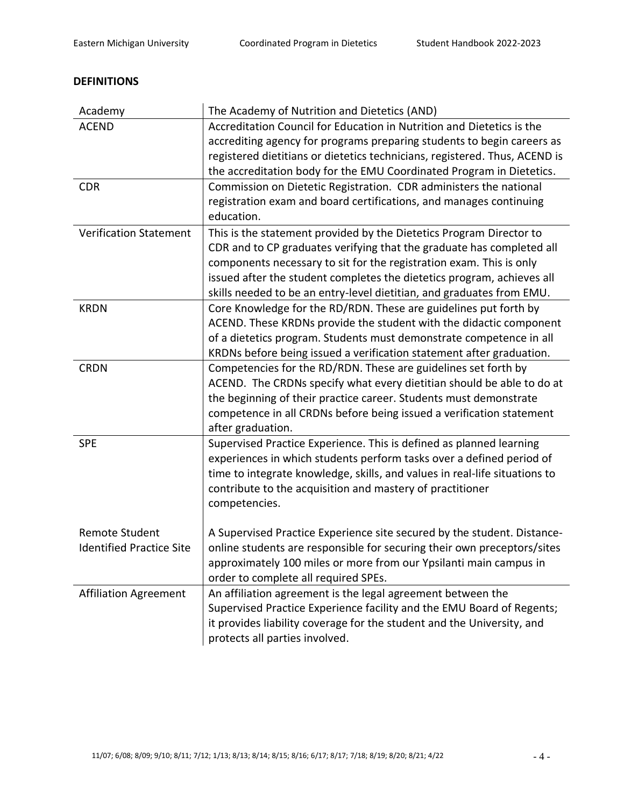# **DEFINITIONS**

| Academy                         | The Academy of Nutrition and Dietetics (AND)                               |
|---------------------------------|----------------------------------------------------------------------------|
| <b>ACEND</b>                    | Accreditation Council for Education in Nutrition and Dietetics is the      |
|                                 | accrediting agency for programs preparing students to begin careers as     |
|                                 | registered dietitians or dietetics technicians, registered. Thus, ACEND is |
|                                 | the accreditation body for the EMU Coordinated Program in Dietetics.       |
| <b>CDR</b>                      | Commission on Dietetic Registration. CDR administers the national          |
|                                 | registration exam and board certifications, and manages continuing         |
|                                 | education.                                                                 |
| <b>Verification Statement</b>   | This is the statement provided by the Dietetics Program Director to        |
|                                 | CDR and to CP graduates verifying that the graduate has completed all      |
|                                 | components necessary to sit for the registration exam. This is only        |
|                                 | issued after the student completes the dietetics program, achieves all     |
|                                 | skills needed to be an entry-level dietitian, and graduates from EMU.      |
| <b>KRDN</b>                     | Core Knowledge for the RD/RDN. These are guidelines put forth by           |
|                                 | ACEND. These KRDNs provide the student with the didactic component         |
|                                 | of a dietetics program. Students must demonstrate competence in all        |
|                                 | KRDNs before being issued a verification statement after graduation.       |
| <b>CRDN</b>                     | Competencies for the RD/RDN. These are guidelines set forth by             |
|                                 | ACEND. The CRDNs specify what every dietitian should be able to do at      |
|                                 | the beginning of their practice career. Students must demonstrate          |
|                                 | competence in all CRDNs before being issued a verification statement       |
|                                 | after graduation.                                                          |
| <b>SPE</b>                      | Supervised Practice Experience. This is defined as planned learning        |
|                                 | experiences in which students perform tasks over a defined period of       |
|                                 | time to integrate knowledge, skills, and values in real-life situations to |
|                                 | contribute to the acquisition and mastery of practitioner                  |
|                                 | competencies.                                                              |
|                                 |                                                                            |
| <b>Remote Student</b>           | A Supervised Practice Experience site secured by the student. Distance-    |
| <b>Identified Practice Site</b> | online students are responsible for securing their own preceptors/sites    |
|                                 | approximately 100 miles or more from our Ypsilanti main campus in          |
|                                 | order to complete all required SPEs.                                       |
| <b>Affiliation Agreement</b>    | An affiliation agreement is the legal agreement between the                |
|                                 | Supervised Practice Experience facility and the EMU Board of Regents;      |
|                                 | it provides liability coverage for the student and the University, and     |
|                                 | protects all parties involved.                                             |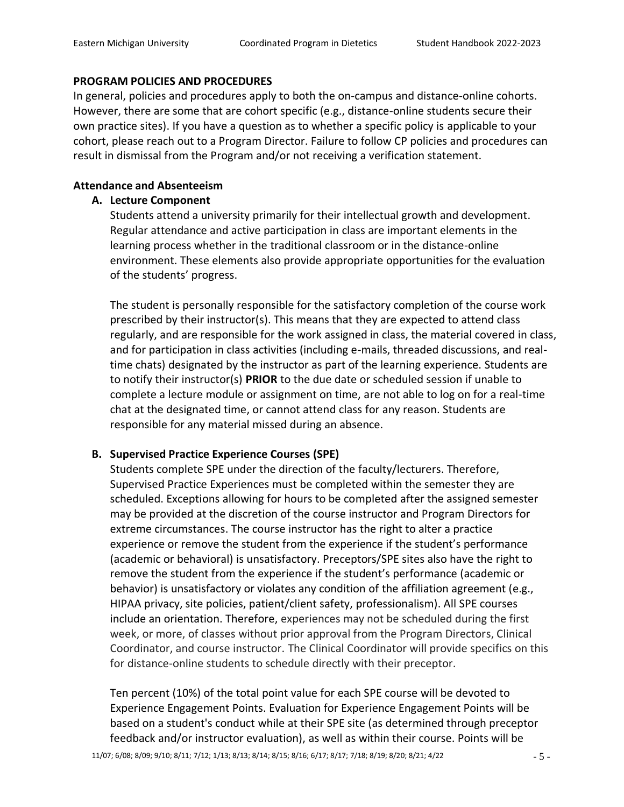#### **PROGRAM POLICIES AND PROCEDURES**

In general, policies and procedures apply to both the on-campus and distance-online cohorts. However, there are some that are cohort specific (e.g., distance-online students secure their own practice sites). If you have a question as to whether a specific policy is applicable to your cohort, please reach out to a Program Director. Failure to follow CP policies and procedures can result in dismissal from the Program and/or not receiving a verification statement.

# **Attendance and Absenteeism**

# **A. Lecture Component**

Students attend a university primarily for their intellectual growth and development. Regular attendance and active participation in class are important elements in the learning process whether in the traditional classroom or in the distance-online environment. These elements also provide appropriate opportunities for the evaluation of the students' progress.

The student is personally responsible for the satisfactory completion of the course work prescribed by their instructor(s). This means that they are expected to attend class regularly, and are responsible for the work assigned in class, the material covered in class, and for participation in class activities (including e-mails, threaded discussions, and realtime chats) designated by the instructor as part of the learning experience. Students are to notify their instructor(s) **PRIOR** to the due date or scheduled session if unable to complete a lecture module or assignment on time, are not able to log on for a real-time chat at the designated time, or cannot attend class for any reason. Students are responsible for any material missed during an absence.

# **B. Supervised Practice Experience Courses (SPE)**

Students complete SPE under the direction of the faculty/lecturers. Therefore, Supervised Practice Experiences must be completed within the semester they are scheduled. Exceptions allowing for hours to be completed after the assigned semester may be provided at the discretion of the course instructor and Program Directors for extreme circumstances. The course instructor has the right to alter a practice experience or remove the student from the experience if the student's performance (academic or behavioral) is unsatisfactory. Preceptors/SPE sites also have the right to remove the student from the experience if the student's performance (academic or behavior) is unsatisfactory or violates any condition of the affiliation agreement (e.g., HIPAA privacy, site policies, patient/client safety, professionalism). All SPE courses include an orientation. Therefore, experiences may not be scheduled during the first week, or more, of classes without prior approval from the Program Directors, Clinical Coordinator, and course instructor. The Clinical Coordinator will provide specifics on this for distance-online students to schedule directly with their preceptor.

Ten percent (10%) of the total point value for each SPE course will be devoted to Experience Engagement Points. Evaluation for Experience Engagement Points will be based on a student's conduct while at their SPE site (as determined through preceptor feedback and/or instructor evaluation), as well as within their course. Points will be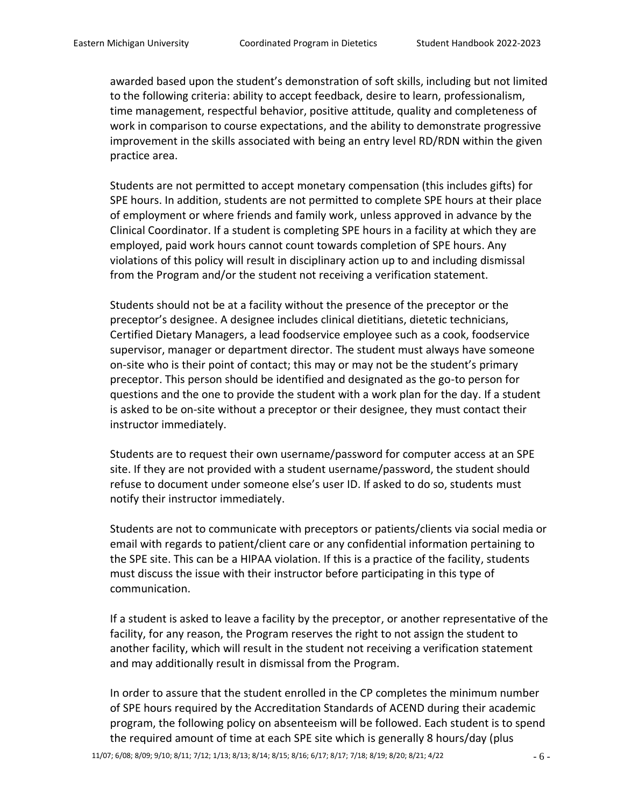awarded based upon the student's demonstration of soft skills, including but not limited to the following criteria: ability to accept feedback, desire to learn, professionalism, time management, respectful behavior, positive attitude, quality and completeness of work in comparison to course expectations, and the ability to demonstrate progressive improvement in the skills associated with being an entry level RD/RDN within the given practice area.

Students are not permitted to accept monetary compensation (this includes gifts) for SPE hours. In addition, students are not permitted to complete SPE hours at their place of employment or where friends and family work, unless approved in advance by the Clinical Coordinator. If a student is completing SPE hours in a facility at which they are employed, paid work hours cannot count towards completion of SPE hours. Any violations of this policy will result in disciplinary action up to and including dismissal from the Program and/or the student not receiving a verification statement.

Students should not be at a facility without the presence of the preceptor or the preceptor's designee. A designee includes clinical dietitians, dietetic technicians, Certified Dietary Managers, a lead foodservice employee such as a cook, foodservice supervisor, manager or department director. The student must always have someone on-site who is their point of contact; this may or may not be the student's primary preceptor. This person should be identified and designated as the go-to person for questions and the one to provide the student with a work plan for the day. If a student is asked to be on-site without a preceptor or their designee, they must contact their instructor immediately.

Students are to request their own username/password for computer access at an SPE site. If they are not provided with a student username/password, the student should refuse to document under someone else's user ID. If asked to do so, students must notify their instructor immediately.

Students are not to communicate with preceptors or patients/clients via social media or email with regards to patient/client care or any confidential information pertaining to the SPE site. This can be a HIPAA violation. If this is a practice of the facility, students must discuss the issue with their instructor before participating in this type of communication.

If a student is asked to leave a facility by the preceptor, or another representative of the facility, for any reason, the Program reserves the right to not assign the student to another facility, which will result in the student not receiving a verification statement and may additionally result in dismissal from the Program.

In order to assure that the student enrolled in the CP completes the minimum number of SPE hours required by the Accreditation Standards of ACEND during their academic program, the following policy on absenteeism will be followed. Each student is to spend the required amount of time at each SPE site which is generally 8 hours/day (plus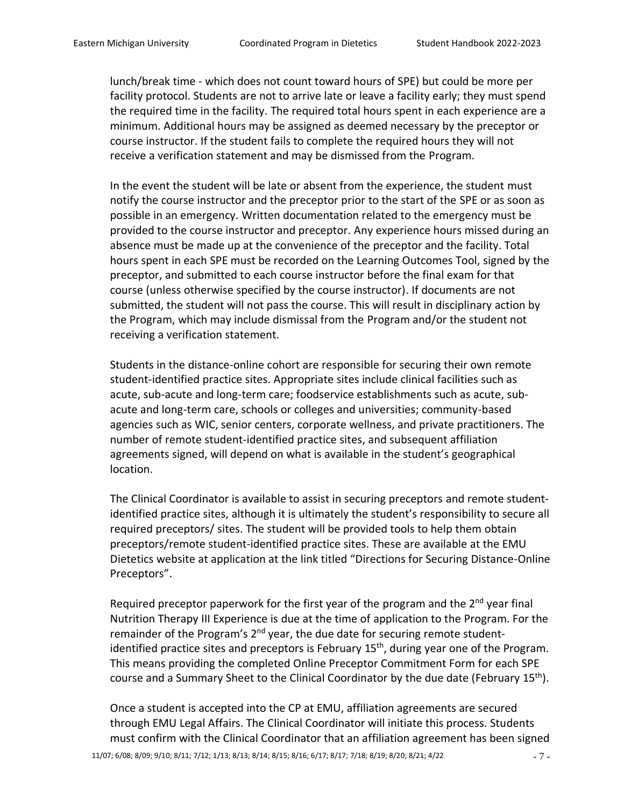lunch/break time - which does not count toward hours of SPE) but could be more per facility protocol. Students are not to arrive late or leave a facility early; they must spend the required time in the facility. The required total hours spent in each experience are a minimum. Additional hours may be assigned as deemed necessary by the preceptor or course instructor. If the student fails to complete the required hours they will not receive a verification statement and may be dismissed from the Program.

In the event the student will be late or absent from the experience, the student must notify the course instructor and the preceptor prior to the start of the SPE or as soon as possible in an emergency. Written documentation related to the emergency must be provided to the course instructor and preceptor. Any experience hours missed during an absence must be made up at the convenience of the preceptor and the facility. Total hours spent in each SPE must be recorded on the Learning Outcomes Tool, signed by the preceptor, and submitted to each course instructor before the final exam for that course (unless otherwise specified by the course instructor). If documents are not submitted, the student will not pass the course. This will result in disciplinary action by the Program, which may include dismissal from the Program and/or the student not receiving a verification statement.

Students in the distance-online cohort are responsible for securing their own remote student-identified practice sites. Appropriate sites include clinical facilities such as acute, sub-acute and long-term care; foodservice establishments such as acute, subacute and long-term care, schools or colleges and universities; community-based agencies such as WIC, senior centers, corporate wellness, and private practitioners. The number of remote student-identified practice sites, and subsequent affiliation agreements signed, will depend on what is available in the student's geographical location.

The Clinical Coordinator is available to assist in securing preceptors and remote studentidentified practice sites, although it is ultimately the student's responsibility to secure all required preceptors/ sites. The student will be provided tools to help them obtain preceptors/remote student-identified practice sites. These are available at the EMU Dietetics website at application at the link titled "Directions for Securing Distance-Online Preceptors".

Required preceptor paperwork for the first year of the program and the  $2^{nd}$  year final Nutrition Therapy III Experience is due at the time of application to the Program. For the remainder of the Program's 2<sup>nd</sup> year, the due date for securing remote studentidentified practice sites and preceptors is February 15<sup>th</sup>, during year one of the Program. This means providing the completed Online Preceptor Commitment Form for each SPE course and a Summary Sheet to the Clinical Coordinator by the due date (February 15<sup>th</sup>).

Once a student is accepted into the CP at EMU, affiliation agreements are secured through EMU Legal Affairs. The Clinical Coordinator will initiate this process. Students must confirm with the Clinical Coordinator that an affiliation agreement has been signed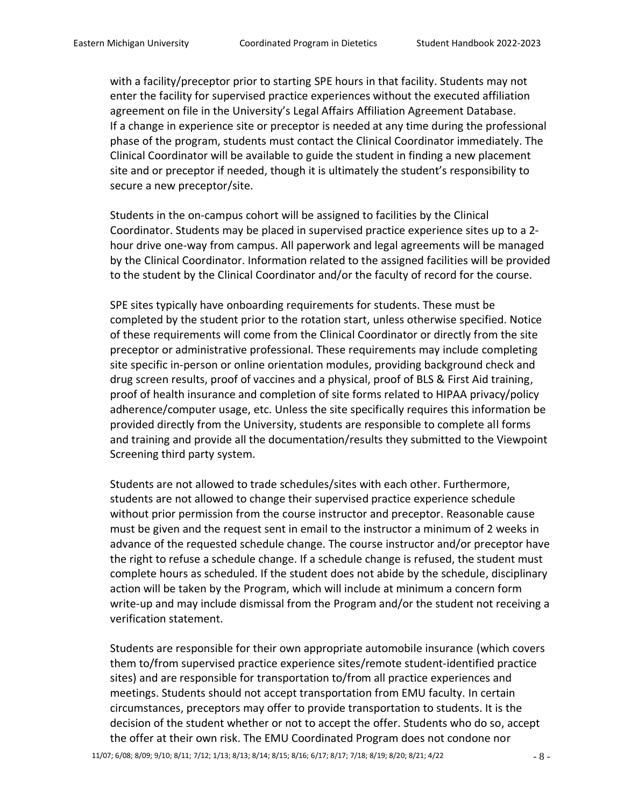with a facility/preceptor prior to starting SPE hours in that facility. Students may not enter the facility for supervised practice experiences without the executed affiliation agreement on file in the University's Legal Affairs Affiliation Agreement Database. If a change in experience site or preceptor is needed at any time during the professional phase of the program, students must contact the Clinical Coordinator immediately. The Clinical Coordinator will be available to guide the student in finding a new placement site and or preceptor if needed, though it is ultimately the student's responsibility to secure a new preceptor/site.

Students in the on-campus cohort will be assigned to facilities by the Clinical Coordinator. Students may be placed in supervised practice experience sites up to a 2 hour drive one-way from campus. All paperwork and legal agreements will be managed by the Clinical Coordinator. Information related to the assigned facilities will be provided to the student by the Clinical Coordinator and/or the faculty of record for the course.

SPE sites typically have onboarding requirements for students. These must be completed by the student prior to the rotation start, unless otherwise specified. Notice of these requirements will come from the Clinical Coordinator or directly from the site preceptor or administrative professional. These requirements may include completing site specific in-person or online orientation modules, providing background check and drug screen results, proof of vaccines and a physical, proof of BLS & First Aid training, proof of health insurance and completion of site forms related to HIPAA privacy/policy adherence/computer usage, etc. Unless the site specifically requires this information be provided directly from the University, students are responsible to complete all forms and training and provide all the documentation/results they submitted to the Viewpoint Screening third party system.

Students are not allowed to trade schedules/sites with each other. Furthermore, students are not allowed to change their supervised practice experience schedule without prior permission from the course instructor and preceptor. Reasonable cause must be given and the request sent in email to the instructor a minimum of 2 weeks in advance of the requested schedule change. The course instructor and/or preceptor have the right to refuse a schedule change. If a schedule change is refused, the student must complete hours as scheduled. If the student does not abide by the schedule, disciplinary action will be taken by the Program, which will include at minimum a concern form write-up and may include dismissal from the Program and/or the student not receiving a verification statement.

Students are responsible for their own appropriate automobile insurance (which covers them to/from supervised practice experience sites/remote student-identified practice sites) and are responsible for transportation to/from all practice experiences and meetings. Students should not accept transportation from EMU faculty. In certain circumstances, preceptors may offer to provide transportation to students. It is the decision of the student whether or not to accept the offer. Students who do so, accept the offer at their own risk. The EMU Coordinated Program does not condone nor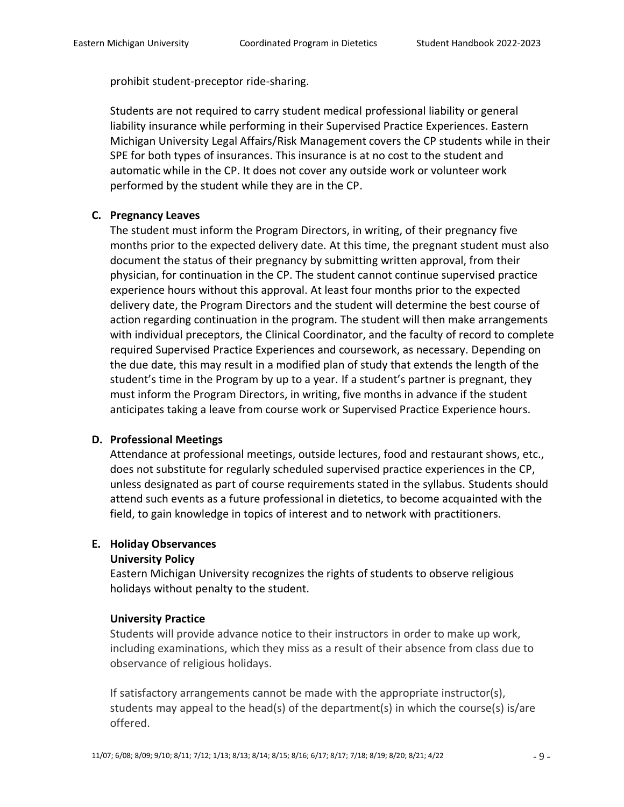prohibit student-preceptor ride-sharing.

Students are not required to carry student medical professional liability or general liability insurance while performing in their Supervised Practice Experiences. Eastern Michigan University Legal Affairs/Risk Management covers the CP students while in their SPE for both types of insurances. This insurance is at no cost to the student and automatic while in the CP. It does not cover any outside work or volunteer work performed by the student while they are in the CP.

# **C. Pregnancy Leaves**

The student must inform the Program Directors, in writing, of their pregnancy five months prior to the expected delivery date. At this time, the pregnant student must also document the status of their pregnancy by submitting written approval, from their physician, for continuation in the CP. The student cannot continue supervised practice experience hours without this approval. At least four months prior to the expected delivery date, the Program Directors and the student will determine the best course of action regarding continuation in the program. The student will then make arrangements with individual preceptors, the Clinical Coordinator, and the faculty of record to complete required Supervised Practice Experiences and coursework, as necessary. Depending on the due date, this may result in a modified plan of study that extends the length of the student's time in the Program by up to a year. If a student's partner is pregnant, they must inform the Program Directors, in writing, five months in advance if the student anticipates taking a leave from course work or Supervised Practice Experience hours.

# **D. Professional Meetings**

Attendance at professional meetings, outside lectures, food and restaurant shows, etc., does not substitute for regularly scheduled supervised practice experiences in the CP, unless designated as part of course requirements stated in the syllabus. Students should attend such events as a future professional in dietetics, to become acquainted with the field, to gain knowledge in topics of interest and to network with practitioners.

# **E. Holiday Observances**

# **University Policy**

Eastern Michigan University recognizes the rights of students to observe religious holidays without penalty to the student.

# **University Practice**

Students will provide advance notice to their instructors in order to make up work, including examinations, which they miss as a result of their absence from class due to observance of religious holidays.

If satisfactory arrangements cannot be made with the appropriate instructor(s), students may appeal to the head(s) of the department(s) in which the course(s) is/are offered.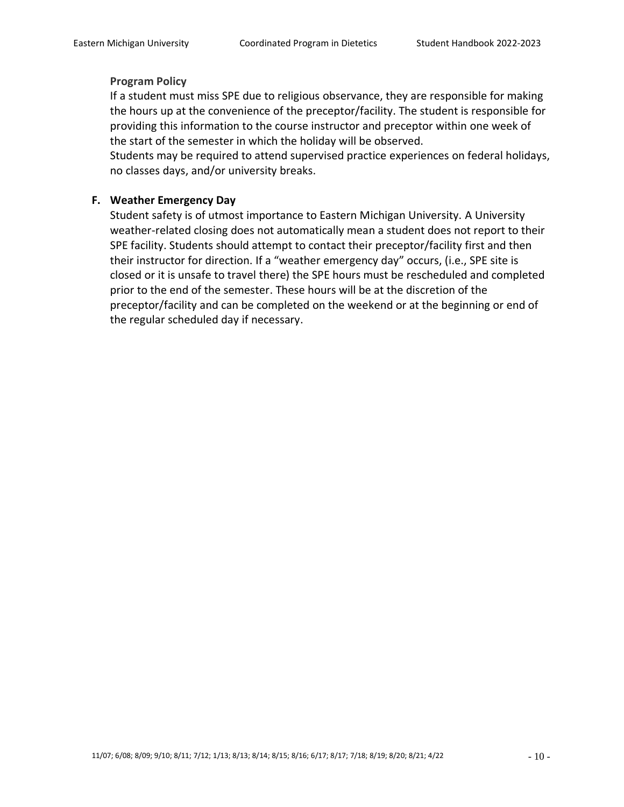#### **Program Policy**

If a student must miss SPE due to religious observance, they are responsible for making the hours up at the convenience of the preceptor/facility. The student is responsible for providing this information to the course instructor and preceptor within one week of the start of the semester in which the holiday will be observed.

Students may be required to attend supervised practice experiences on federal holidays, no classes days, and/or university breaks.

# **F. Weather Emergency Day**

Student safety is of utmost importance to Eastern Michigan University. A University weather-related closing does not automatically mean a student does not report to their SPE facility. Students should attempt to contact their preceptor/facility first and then their instructor for direction. If a "weather emergency day" occurs, (i.e., SPE site is closed or it is unsafe to travel there) the SPE hours must be rescheduled and completed prior to the end of the semester. These hours will be at the discretion of the preceptor/facility and can be completed on the weekend or at the beginning or end of the regular scheduled day if necessary.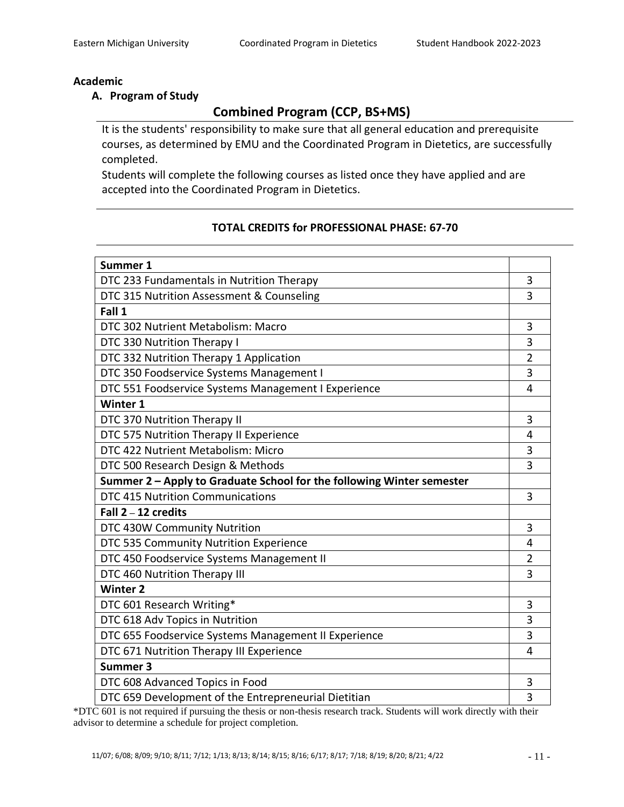## **Academic**

## **A. Program of Study**

# **Combined Program (CCP, BS+MS)**

It is the students' responsibility to make sure that all general education and prerequisite courses, as determined by EMU and the Coordinated Program in Dietetics, are successfully completed.

Students will complete the following courses as listed once they have applied and are accepted into the Coordinated Program in Dietetics.

# **TOTAL CREDITS for PROFESSIONAL PHASE: 67-70**

| Summer 1                                                              |                |
|-----------------------------------------------------------------------|----------------|
| DTC 233 Fundamentals in Nutrition Therapy                             | 3              |
| DTC 315 Nutrition Assessment & Counseling                             | 3              |
| Fall 1                                                                |                |
| DTC 302 Nutrient Metabolism: Macro                                    | 3              |
| DTC 330 Nutrition Therapy I                                           | 3              |
| DTC 332 Nutrition Therapy 1 Application                               | $\overline{2}$ |
| DTC 350 Foodservice Systems Management I                              | 3              |
| DTC 551 Foodservice Systems Management I Experience                   | 4              |
| Winter 1                                                              |                |
| DTC 370 Nutrition Therapy II                                          | 3              |
| DTC 575 Nutrition Therapy II Experience                               | 4              |
| DTC 422 Nutrient Metabolism: Micro                                    | 3              |
| DTC 500 Research Design & Methods                                     | 3              |
| Summer 2 - Apply to Graduate School for the following Winter semester |                |
| <b>DTC 415 Nutrition Communications</b>                               | 3              |
| Fall $2 - 12$ credits                                                 |                |
| DTC 430W Community Nutrition                                          | 3              |
| DTC 535 Community Nutrition Experience                                | 4              |
| DTC 450 Foodservice Systems Management II                             | $\overline{2}$ |
| DTC 460 Nutrition Therapy III                                         | 3              |
| <b>Winter 2</b>                                                       |                |
| DTC 601 Research Writing*                                             | 3              |
| DTC 618 Adv Topics in Nutrition                                       | 3              |
| DTC 655 Foodservice Systems Management II Experience                  | 3              |
| DTC 671 Nutrition Therapy III Experience                              | 4              |
| Summer 3                                                              |                |
| DTC 608 Advanced Topics in Food                                       | 3              |
| DTC 659 Development of the Entrepreneurial Dietitian                  | 3              |

\*DTC 601 is not required if pursuing the thesis or non-thesis research track. Students will work directly with their advisor to determine a schedule for project completion.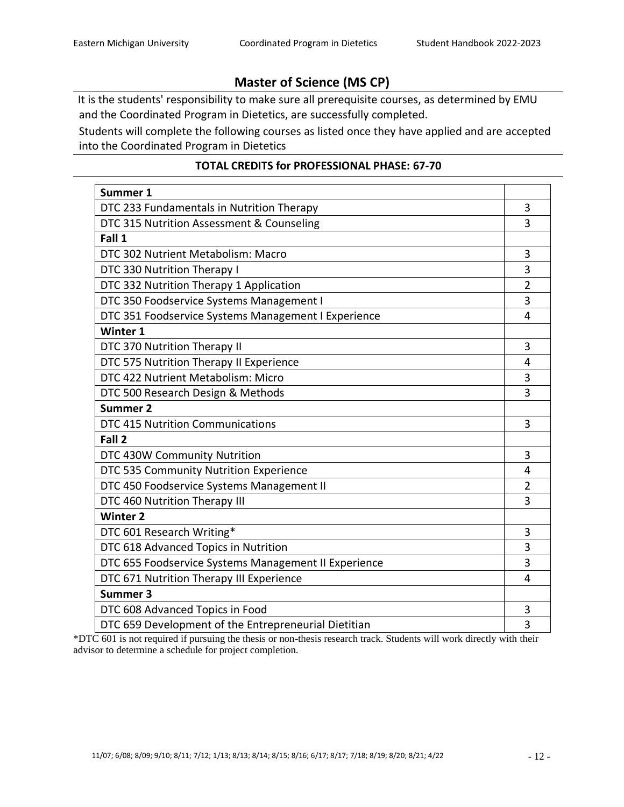# **Master of Science (MS CP)**

It is the students' responsibility to make sure all prerequisite courses, as determined by EMU and the Coordinated Program in Dietetics, are successfully completed.

Students will complete the following courses as listed once they have applied and are accepted into the Coordinated Program in Dietetics

# **TOTAL CREDITS for PROFESSIONAL PHASE: 67-70**

| Summer 1                                             |                |  |
|------------------------------------------------------|----------------|--|
| DTC 233 Fundamentals in Nutrition Therapy            | 3              |  |
| DTC 315 Nutrition Assessment & Counseling            |                |  |
| Fall 1                                               |                |  |
| DTC 302 Nutrient Metabolism: Macro                   | 3              |  |
| DTC 330 Nutrition Therapy I                          | 3              |  |
| DTC 332 Nutrition Therapy 1 Application              | $\overline{2}$ |  |
| DTC 350 Foodservice Systems Management I             | 3              |  |
| DTC 351 Foodservice Systems Management I Experience  | 4              |  |
| Winter 1                                             |                |  |
| DTC 370 Nutrition Therapy II                         | 3              |  |
| DTC 575 Nutrition Therapy II Experience              | 4              |  |
| DTC 422 Nutrient Metabolism: Micro                   | 3              |  |
| DTC 500 Research Design & Methods                    | 3              |  |
| <b>Summer 2</b>                                      |                |  |
| <b>DTC 415 Nutrition Communications</b>              | 3              |  |
| Fall 2                                               |                |  |
| DTC 430W Community Nutrition                         | 3              |  |
| DTC 535 Community Nutrition Experience               | 4              |  |
| DTC 450 Foodservice Systems Management II            | $\overline{2}$ |  |
| DTC 460 Nutrition Therapy III                        | 3              |  |
| <b>Winter 2</b>                                      |                |  |
| DTC 601 Research Writing*                            | 3              |  |
| DTC 618 Advanced Topics in Nutrition                 | 3              |  |
| DTC 655 Foodservice Systems Management II Experience | 3              |  |
| DTC 671 Nutrition Therapy III Experience             | 4              |  |
| Summer 3                                             |                |  |
| DTC 608 Advanced Topics in Food                      | 3              |  |
| DTC 659 Development of the Entrepreneurial Dietitian | 3              |  |

 $*$ DTC 601 is not required if pursuing the thesis or non-thesis research track. Students will work directly with their advisor to determine a schedule for project completion.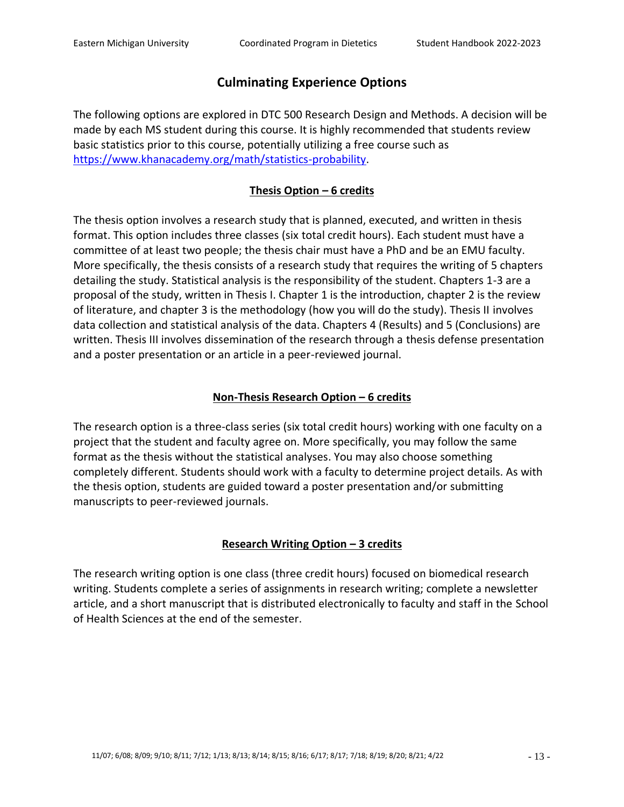# **Culminating Experience Options**

The following options are explored in DTC 500 Research Design and Methods. A decision will be made by each MS student during this course. It is highly recommended that students review basic statistics prior to this course, potentially utilizing a free course such as [https://www.khanacademy.org/math/statistics-probability.](https://www.khanacademy.org/math/statistics-probability)

# **Thesis Option – 6 credits**

The thesis option involves a research study that is planned, executed, and written in thesis format. This option includes three classes (six total credit hours). Each student must have a committee of at least two people; the thesis chair must have a PhD and be an EMU faculty. More specifically, the thesis consists of a research study that requires the writing of 5 chapters detailing the study. Statistical analysis is the responsibility of the student. Chapters 1-3 are a proposal of the study, written in Thesis I. Chapter 1 is the introduction, chapter 2 is the review of literature, and chapter 3 is the methodology (how you will do the study). Thesis II involves data collection and statistical analysis of the data. Chapters 4 (Results) and 5 (Conclusions) are written. Thesis III involves dissemination of the research through a thesis defense presentation and a poster presentation or an article in a peer-reviewed journal.

# **Non-Thesis Research Option – 6 credits**

The research option is a three-class series (six total credit hours) working with one faculty on a project that the student and faculty agree on. More specifically, you may follow the same format as the thesis without the statistical analyses. You may also choose something completely different. Students should work with a faculty to determine project details. As with the thesis option, students are guided toward a poster presentation and/or submitting manuscripts to peer-reviewed journals.

# **Research Writing Option – 3 credits**

The research writing option is one class (three credit hours) focused on biomedical research writing. Students complete a series of assignments in research writing; complete a newsletter article, and a short manuscript that is distributed electronically to faculty and staff in the School of Health Sciences at the end of the semester.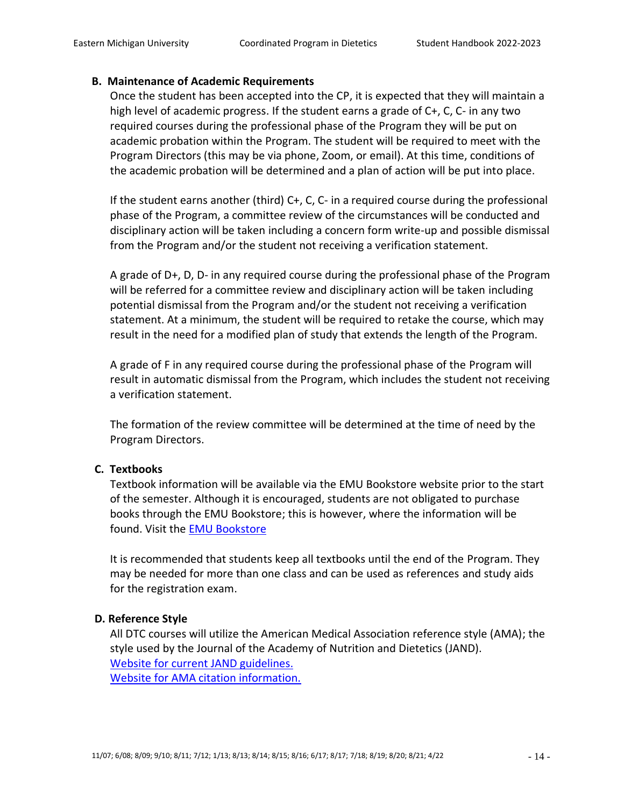### **B. Maintenance of Academic Requirements**

Once the student has been accepted into the CP, it is expected that they will maintain a high level of academic progress. If the student earns a grade of C+, C, C- in any two required courses during the professional phase of the Program they will be put on academic probation within the Program. The student will be required to meet with the Program Directors (this may be via phone, Zoom, or email). At this time, conditions of the academic probation will be determined and a plan of action will be put into place.

If the student earns another (third) C+, C, C- in a required course during the professional phase of the Program, a committee review of the circumstances will be conducted and disciplinary action will be taken including a concern form write-up and possible dismissal from the Program and/or the student not receiving a verification statement.

A grade of D+, D, D- in any required course during the professional phase of the Program will be referred for a committee review and disciplinary action will be taken including potential dismissal from the Program and/or the student not receiving a verification statement. At a minimum, the student will be required to retake the course, which may result in the need for a modified plan of study that extends the length of the Program.

A grade of F in any required course during the professional phase of the Program will result in automatic dismissal from the Program, which includes the student not receiving a verification statement.

The formation of the review committee will be determined at the time of need by the Program Directors.

# **C. Textbooks**

Textbook information will be available via the EMU Bookstore website prior to the start of the semester. Although it is encouraged, students are not obligated to purchase books through the EMU Bookstore; this is however, where the information will be found. Visit the [EMU Bookstore](https://www.bkstr.com/easternmichiganstore/shop/textbooks-and-course-materials)

It is recommended that students keep all textbooks until the end of the Program. They may be needed for more than one class and can be used as references and study aids for the registration exam.

# **D. Reference Style**

All DTC courses will utilize the American Medical Association reference style (AMA); the style used by the Journal of the Academy of Nutrition and Dietetics (JAND). [Website for current JAND guidelines.](http://www.andjrnl.org/article/S2212-2672%2813%2900308-0/fulltext#sec6) [Website for AMA citation information.](https://owl.purdue.edu/owl/research_and_citation/ama_style/index.html)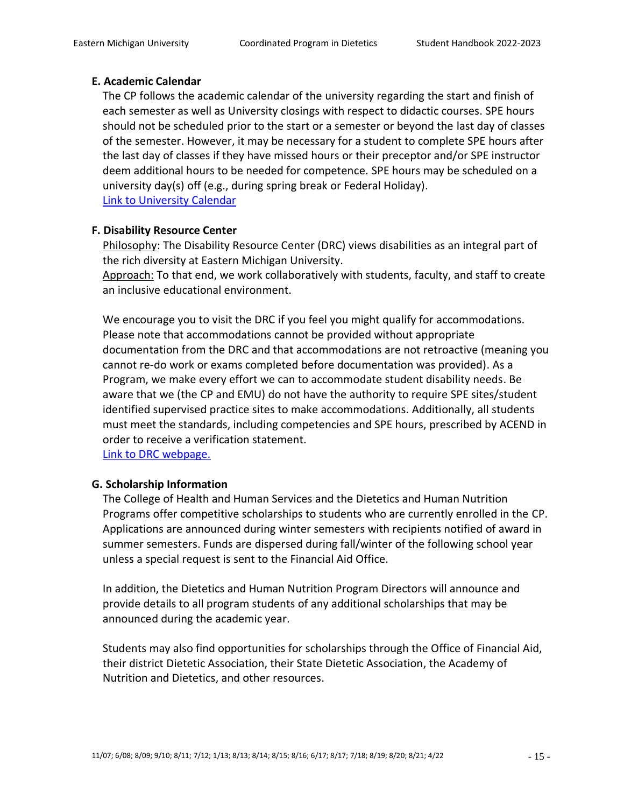## **E. Academic Calendar**

The CP follows the academic calendar of the university regarding the start and finish of each semester as well as University closings with respect to didactic courses. SPE hours should not be scheduled prior to the start or a semester or beyond the last day of classes of the semester. However, it may be necessary for a student to complete SPE hours after the last day of classes if they have missed hours or their preceptor and/or SPE instructor deem additional hours to be needed for competence. SPE hours may be scheduled on a university day(s) off (e.g., during spring break or Federal Holiday). [Link to University Calendar](http://www.emich.edu/registrar/calendars/)

# **F. Disability Resource Center**

Philosophy: The Disability Resource Center (DRC) views disabilities as an integral part of the rich diversity at Eastern Michigan University.

Approach: To that end, we work collaboratively with students, faculty, and staff to create an inclusive educational environment.

We encourage you to visit the DRC if you feel you might qualify for accommodations. Please note that accommodations cannot be provided without appropriate documentation from the DRC and that accommodations are not retroactive (meaning you cannot re-do work or exams completed before documentation was provided). As a Program, we make every effort we can to accommodate student disability needs. Be aware that we (the CP and EMU) do not have the authority to require SPE sites/student identified supervised practice sites to make accommodations. Additionally, all students must meet the standards, including competencies and SPE hours, prescribed by ACEND in order to receive a verification statement.

[Link to DRC webpage.](http://www.emich.edu/drc/)

#### **G. Scholarship Information**

The College of Health and Human Services and the Dietetics and Human Nutrition Programs offer competitive scholarships to students who are currently enrolled in the CP. Applications are announced during winter semesters with recipients notified of award in summer semesters. Funds are dispersed during fall/winter of the following school year unless a special request is sent to the Financial Aid Office.

In addition, the Dietetics and Human Nutrition Program Directors will announce and provide details to all program students of any additional scholarships that may be announced during the academic year.

Students may also find opportunities for scholarships through the Office of Financial Aid, their district Dietetic Association, their State Dietetic Association, the Academy of Nutrition and Dietetics, and other resources.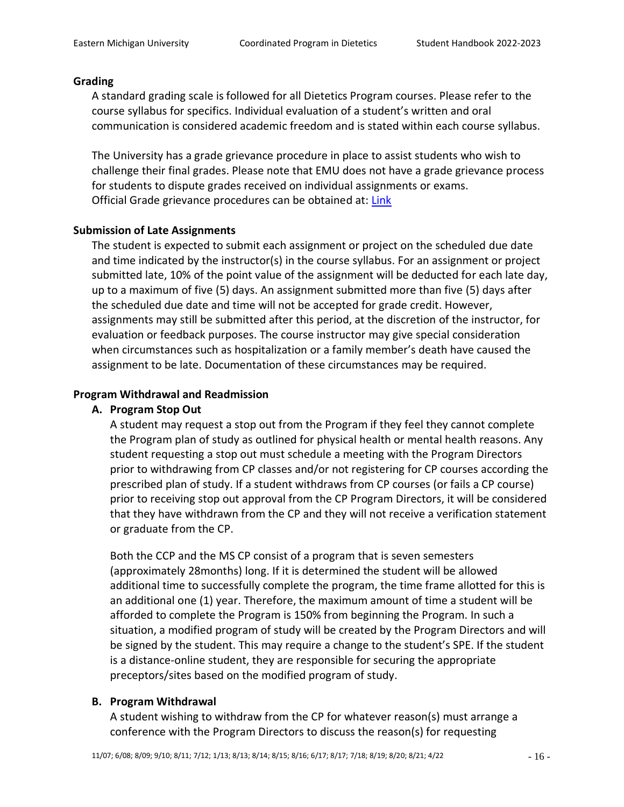#### **Grading**

A standard grading scale is followed for all Dietetics Program courses. Please refer to the course syllabus for specifics. Individual evaluation of a student's written and oral communication is considered academic freedom and is stated within each course syllabus.

The University has a grade grievance procedure in place to assist students who wish to challenge their final grades. Please note that EMU does not have a grade grievance process for students to dispute grades received on individual assignments or exams. Official Grade grievance procedures can be obtained at: [Link](https://www.emich.edu/registrar/documents/grade-grievance-procedure.pdf)

### **Submission of Late Assignments**

The student is expected to submit each assignment or project on the scheduled due date and time indicated by the instructor(s) in the course syllabus. For an assignment or project submitted late, 10% of the point value of the assignment will be deducted for each late day, up to a maximum of five (5) days. An assignment submitted more than five (5) days after the scheduled due date and time will not be accepted for grade credit. However, assignments may still be submitted after this period, at the discretion of the instructor, for evaluation or feedback purposes. The course instructor may give special consideration when circumstances such as hospitalization or a family member's death have caused the assignment to be late. Documentation of these circumstances may be required.

### **Program Withdrawal and Readmission**

#### **A. Program Stop Out**

A student may request a stop out from the Program if they feel they cannot complete the Program plan of study as outlined for physical health or mental health reasons. Any student requesting a stop out must schedule a meeting with the Program Directors prior to withdrawing from CP classes and/or not registering for CP courses according the prescribed plan of study. If a student withdraws from CP courses (or fails a CP course) prior to receiving stop out approval from the CP Program Directors, it will be considered that they have withdrawn from the CP and they will not receive a verification statement or graduate from the CP.

Both the CCP and the MS CP consist of a program that is seven semesters (approximately 28months) long. If it is determined the student will be allowed additional time to successfully complete the program, the time frame allotted for this is an additional one (1) year. Therefore, the maximum amount of time a student will be afforded to complete the Program is 150% from beginning the Program. In such a situation, a modified program of study will be created by the Program Directors and will be signed by the student. This may require a change to the student's SPE. If the student is a distance-online student, they are responsible for securing the appropriate preceptors/sites based on the modified program of study.

#### **B. Program Withdrawal**

A student wishing to withdraw from the CP for whatever reason(s) must arrange a conference with the Program Directors to discuss the reason(s) for requesting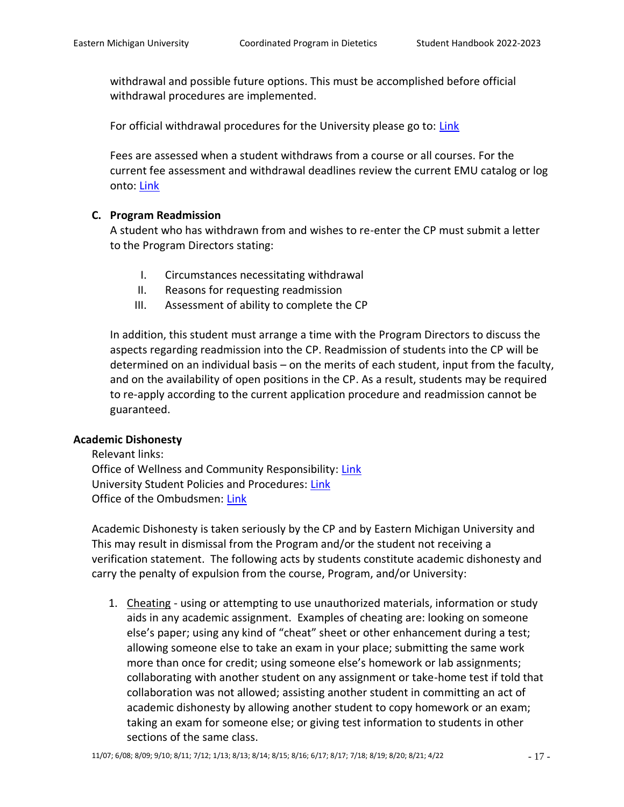withdrawal and possible future options. This must be accomplished before official withdrawal procedures are implemented.

For official withdrawal procedures for the University please go to: [Link](http://www.emich.edu/registrar/registration_info/withdrawing.php)

Fees are assessed when a student withdraws from a course or all courses. For the current fee assessment and withdrawal deadlines review the current EMU catalog or log onto: [Link](https://www.emich.edu/registrar/registration/dropwithdrawl.php)

# **C. Program Readmission**

A student who has withdrawn from and wishes to re-enter the CP must submit a letter to the Program Directors stating:

- I. Circumstances necessitating withdrawal
- II. Reasons for requesting readmission
- III. Assessment of ability to complete the CP

In addition, this student must arrange a time with the Program Directors to discuss the aspects regarding readmission into the CP. Readmission of students into the CP will be determined on an individual basis – on the merits of each student, input from the faculty, and on the availability of open positions in the CP. As a result, students may be required to re-apply according to the current application procedure and readmission cannot be guaranteed.

#### **Academic Dishonesty**

Relevant links: Office of Wellness and Community Responsibility: [Link](http://www.emich.edu/studentconduct/) University Student Policies and Procedures: [Link](https://www.emich.edu/studenthandbook/policies/academic.php#univ) Office of the Ombudsmen: [Link](http://www.emich.edu/ombuds/)

Academic Dishonesty is taken seriously by the CP and by Eastern Michigan University and This may result in dismissal from the Program and/or the student not receiving a verification statement. The following acts by students constitute academic dishonesty and carry the penalty of expulsion from the course, Program, and/or University:

1. Cheating - using or attempting to use unauthorized materials, information or study aids in any academic assignment. Examples of cheating are: looking on someone else's paper; using any kind of "cheat" sheet or other enhancement during a test; allowing someone else to take an exam in your place; submitting the same work more than once for credit; using someone else's homework or lab assignments; collaborating with another student on any assignment or take-home test if told that collaboration was not allowed; assisting another student in committing an act of academic dishonesty by allowing another student to copy homework or an exam; taking an exam for someone else; or giving test information to students in other sections of the same class.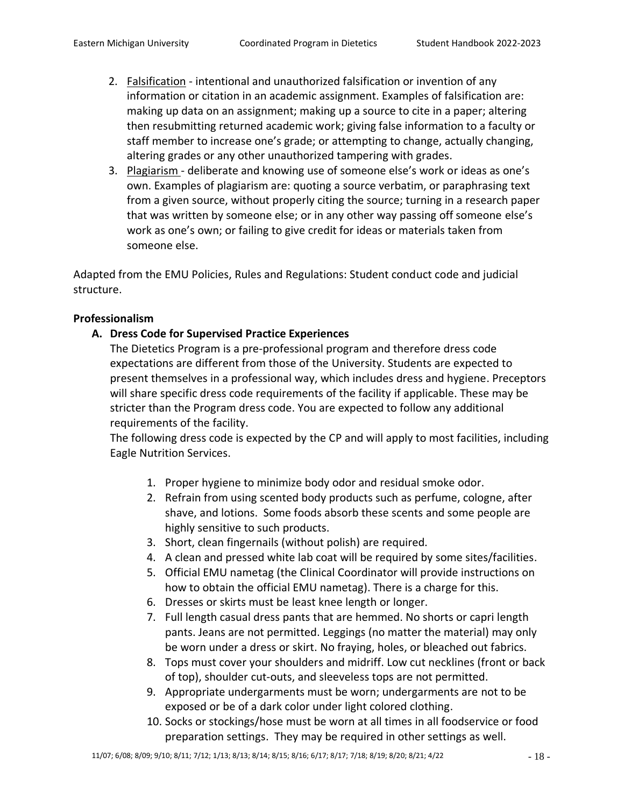- 2. Falsification intentional and unauthorized falsification or invention of any information or citation in an academic assignment. Examples of falsification are: making up data on an assignment; making up a source to cite in a paper; altering then resubmitting returned academic work; giving false information to a faculty or staff member to increase one's grade; or attempting to change, actually changing, altering grades or any other unauthorized tampering with grades.
- 3. Plagiarism deliberate and knowing use of someone else's work or ideas as one's own. Examples of plagiarism are: quoting a source verbatim, or paraphrasing text from a given source, without properly citing the source; turning in a research paper that was written by someone else; or in any other way passing off someone else's work as one's own; or failing to give credit for ideas or materials taken from someone else.

Adapted from the EMU Policies, Rules and Regulations: Student conduct code and judicial structure.

# **Professionalism**

# **A. Dress Code for Supervised Practice Experiences**

The Dietetics Program is a pre-professional program and therefore dress code expectations are different from those of the University. Students are expected to present themselves in a professional way, which includes dress and hygiene. Preceptors will share specific dress code requirements of the facility if applicable. These may be stricter than the Program dress code. You are expected to follow any additional requirements of the facility.

The following dress code is expected by the CP and will apply to most facilities, including Eagle Nutrition Services.

- 1. Proper hygiene to minimize body odor and residual smoke odor.
- 2. Refrain from using scented body products such as perfume, cologne, after shave, and lotions. Some foods absorb these scents and some people are highly sensitive to such products.
- 3. Short, clean fingernails (without polish) are required.
- 4. A clean and pressed white lab coat will be required by some sites/facilities.
- 5. Official EMU nametag (the Clinical Coordinator will provide instructions on how to obtain the official EMU nametag). There is a charge for this.
- 6. Dresses or skirts must be least knee length or longer.
- 7. Full length casual dress pants that are hemmed. No shorts or capri length pants. Jeans are not permitted. Leggings (no matter the material) may only be worn under a dress or skirt. No fraying, holes, or bleached out fabrics.
- 8. Tops must cover your shoulders and midriff. Low cut necklines (front or back of top), shoulder cut-outs, and sleeveless tops are not permitted.
- 9. Appropriate undergarments must be worn; undergarments are not to be exposed or be of a dark color under light colored clothing.
- 10. Socks or stockings/hose must be worn at all times in all foodservice or food preparation settings. They may be required in other settings as well.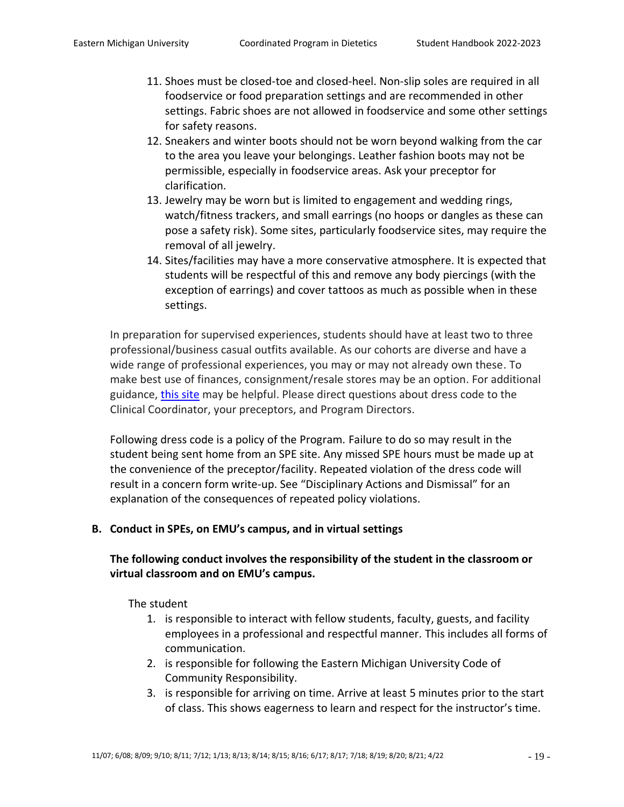- 11. Shoes must be closed-toe and closed-heel. Non-slip soles are required in all foodservice or food preparation settings and are recommended in other settings. Fabric shoes are not allowed in foodservice and some other settings for safety reasons.
- 12. Sneakers and winter boots should not be worn beyond walking from the car to the area you leave your belongings. Leather fashion boots may not be permissible, especially in foodservice areas. Ask your preceptor for clarification.
- 13. Jewelry may be worn but is limited to engagement and wedding rings, watch/fitness trackers, and small earrings (no hoops or dangles as these can pose a safety risk). Some sites, particularly foodservice sites, may require the removal of all jewelry.
- 14. Sites/facilities may have a more conservative atmosphere. It is expected that students will be respectful of this and remove any body piercings (with the exception of earrings) and cover tattoos as much as possible when in these settings.

In preparation for supervised experiences, students should have at least two to three professional/business casual outfits available. As our cohorts are diverse and have a wide range of professional experiences, you may or may not already own these. To make best use of finances, consignment/resale stores may be an option. For additional guidance, [this site](https://www.wikihow.com/Dress-Professionally) may be helpful. Please direct questions about dress code to the Clinical Coordinator, your preceptors, and Program Directors.

Following dress code is a policy of the Program. Failure to do so may result in the student being sent home from an SPE site. Any missed SPE hours must be made up at the convenience of the preceptor/facility. Repeated violation of the dress code will result in a concern form write-up. See "Disciplinary Actions and Dismissal" for an explanation of the consequences of repeated policy violations.

# **B. Conduct in SPEs, on EMU's campus, and in virtual settings**

# **The following conduct involves the responsibility of the student in the classroom or virtual classroom and on EMU's campus.**

The student

- 1. is responsible to interact with fellow students, faculty, guests, and facility employees in a professional and respectful manner. This includes all forms of communication.
- 2. is responsible for following the Eastern Michigan University Code of Community Responsibility.
- 3. is responsible for arriving on time. Arrive at least 5 minutes prior to the start of class. This shows eagerness to learn and respect for the instructor's time.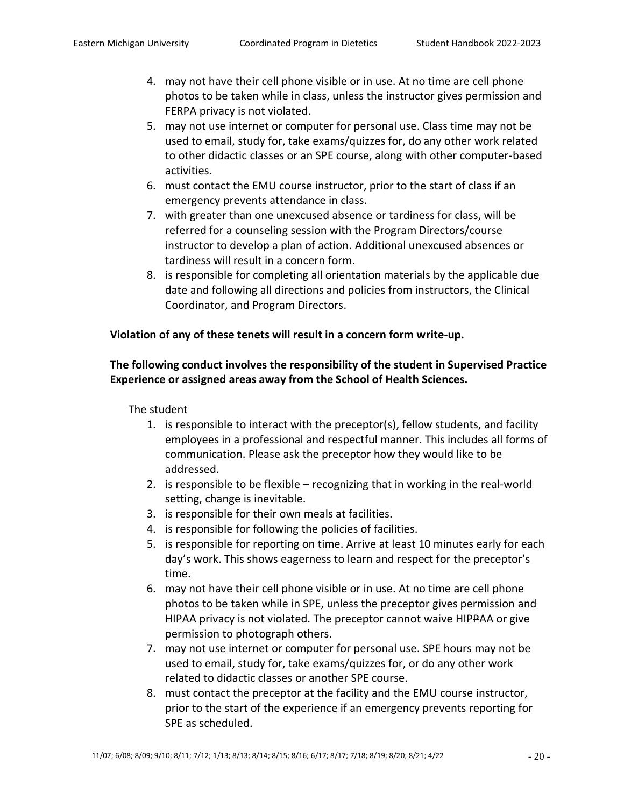- 4. may not have their cell phone visible or in use. At no time are cell phone photos to be taken while in class, unless the instructor gives permission and FERPA privacy is not violated.
- 5. may not use internet or computer for personal use. Class time may not be used to email, study for, take exams/quizzes for, do any other work related to other didactic classes or an SPE course, along with other computer-based activities.
- 6. must contact the EMU course instructor, prior to the start of class if an emergency prevents attendance in class.
- 7. with greater than one unexcused absence or tardiness for class, will be referred for a counseling session with the Program Directors/course instructor to develop a plan of action. Additional unexcused absences or tardiness will result in a concern form.
- 8. is responsible for completing all orientation materials by the applicable due date and following all directions and policies from instructors, the Clinical Coordinator, and Program Directors.

# **Violation of any of these tenets will result in a concern form write-up.**

# **The following conduct involves the responsibility of the student in Supervised Practice Experience or assigned areas away from the School of Health Sciences.**

# The student

- 1. is responsible to interact with the preceptor(s), fellow students, and facility employees in a professional and respectful manner. This includes all forms of communication. Please ask the preceptor how they would like to be addressed.
- 2. is responsible to be flexible recognizing that in working in the real-world setting, change is inevitable.
- 3. is responsible for their own meals at facilities.
- 4. is responsible for following the policies of facilities.
- 5. is responsible for reporting on time. Arrive at least 10 minutes early for each day's work. This shows eagerness to learn and respect for the preceptor's time.
- 6. may not have their cell phone visible or in use. At no time are cell phone photos to be taken while in SPE, unless the preceptor gives permission and HIPAA privacy is not violated. The preceptor cannot waive HIPPAA or give permission to photograph others.
- 7. may not use internet or computer for personal use. SPE hours may not be used to email, study for, take exams/quizzes for, or do any other work related to didactic classes or another SPE course.
- 8. must contact the preceptor at the facility and the EMU course instructor, prior to the start of the experience if an emergency prevents reporting for SPE as scheduled.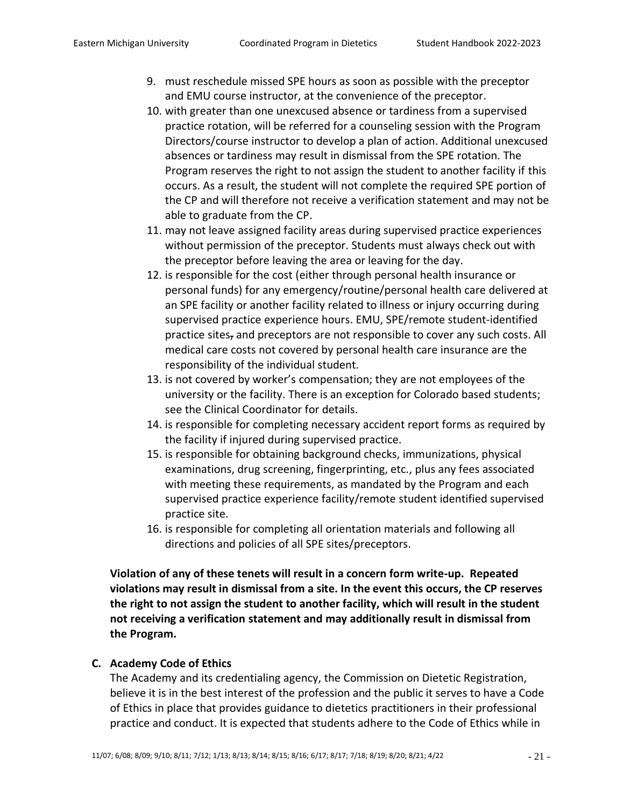- 9. must reschedule missed SPE hours as soon as possible with the preceptor and EMU course instructor, at the convenience of the preceptor.
- 10. with greater than one unexcused absence or tardiness from a supervised practice rotation, will be referred for a counseling session with the Program Directors/course instructor to develop a plan of action. Additional unexcused absences or tardiness may result in dismissal from the SPE rotation. The Program reserves the right to not assign the student to another facility if this occurs. As a result, the student will not complete the required SPE portion of the CP and will therefore not receive a verification statement and may not be able to graduate from the CP.
- 11. may not leave assigned facility areas during supervised practice experiences without permission of the preceptor. Students must always check out with the preceptor before leaving the area or leaving for the day.
- 12. is responsible for the cost (either through personal health insurance or personal funds) for any emergency/routine/personal health care delivered at an SPE facility or another facility related to illness or injury occurring during supervised practice experience hours. EMU, SPE/remote student-identified practice sites, and preceptors are not responsible to cover any such costs. All medical care costs not covered by personal health care insurance are the responsibility of the individual student.
- 13. is not covered by worker's compensation; they are not employees of the university or the facility. There is an exception for Colorado based students; see the Clinical Coordinator for details.
- 14. is responsible for completing necessary accident report forms as required by the facility if injured during supervised practice.
- 15. is responsible for obtaining background checks, immunizations, physical examinations, drug screening, fingerprinting, etc., plus any fees associated with meeting these requirements, as mandated by the Program and each supervised practice experience facility/remote student identified supervised practice site.
- 16. is responsible for completing all orientation materials and following all directions and policies of all SPE sites/preceptors.

**Violation of any of these tenets will result in a concern form write-up. Repeated violations may result in dismissal from a site. In the event this occurs, the CP reserves the right to not assign the student to another facility, which will result in the student not receiving a verification statement and may additionally result in dismissal from the Program.**

#### **C. Academy Code of Ethics**

The Academy and its credentialing agency, the Commission on Dietetic Registration, believe it is in the best interest of the profession and the public it serves to have a Code of Ethics in place that provides guidance to dietetics practitioners in their professional practice and conduct. It is expected that students adhere to the Code of Ethics while in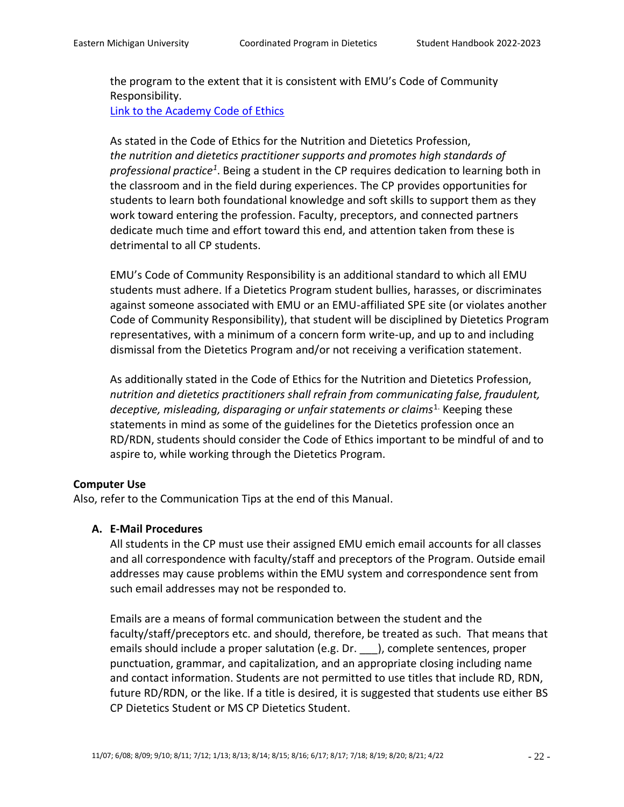the program to the extent that it is consistent with EMU's Code of Community Responsibility. [Link to the Academy Code of Ethics](https://www.eatrightpro.org/practice/code-of-ethics/what-is-the-code-of-ethics)

As stated in the Code of Ethics for the Nutrition and Dietetics Profession, *the nutrition and dietetics practitioner supports and promotes high standards of*  professional practice<sup>1</sup>. Being a student in the CP requires dedication to learning both in the classroom and in the field during experiences. The CP provides opportunities for students to learn both foundational knowledge and soft skills to support them as they work toward entering the profession. Faculty, preceptors, and connected partners dedicate much time and effort toward this end, and attention taken from these is detrimental to all CP students.

EMU's Code of Community Responsibility is an additional standard to which all EMU students must adhere. If a Dietetics Program student bullies, harasses, or discriminates against someone associated with EMU or an EMU-affiliated SPE site (or violates another Code of Community Responsibility), that student will be disciplined by Dietetics Program representatives, with a minimum of a concern form write-up, and up to and including dismissal from the Dietetics Program and/or not receiving a verification statement.

As additionally stated in the Code of Ethics for the Nutrition and Dietetics Profession, *nutrition and dietetics practitioners shall refrain from communicating false, fraudulent,*  deceptive, misleading, disparaging or unfair statements or claims<sup>1.</sup> Keeping these statements in mind as some of the guidelines for the Dietetics profession once an RD/RDN, students should consider the Code of Ethics important to be mindful of and to aspire to, while working through the Dietetics Program.

#### **Computer Use**

Also, refer to the Communication Tips at the end of this Manual.

# **A. E-Mail Procedures**

All students in the CP must use their assigned EMU emich email accounts for all classes and all correspondence with faculty/staff and preceptors of the Program. Outside email addresses may cause problems within the EMU system and correspondence sent from such email addresses may not be responded to.

Emails are a means of formal communication between the student and the faculty/staff/preceptors etc. and should, therefore, be treated as such. That means that emails should include a proper salutation (e.g. Dr. \_\_\_), complete sentences, proper punctuation, grammar, and capitalization, and an appropriate closing including name and contact information. Students are not permitted to use titles that include RD, RDN, future RD/RDN, or the like. If a title is desired, it is suggested that students use either BS CP Dietetics Student or MS CP Dietetics Student.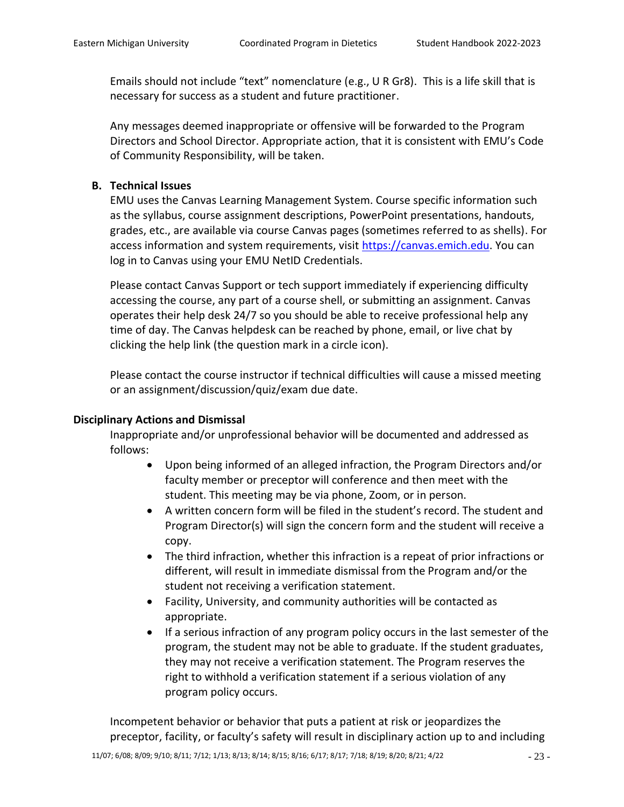Emails should not include "text" nomenclature (e.g., U R Gr8). This is a life skill that is necessary for success as a student and future practitioner.

Any messages deemed inappropriate or offensive will be forwarded to the Program Directors and School Director. Appropriate action, that it is consistent with EMU's Code of Community Responsibility, will be taken.

## **B. Technical Issues**

EMU uses the Canvas Learning Management System. Course specific information such as the syllabus, course assignment descriptions, PowerPoint presentations, handouts, grades, etc., are available via course Canvas pages (sometimes referred to as shells). For access information and system requirements, visit [https://canvas.emich.edu.](https://canvas.emich.edu/) You can log in to Canvas using your EMU NetID Credentials.

Please contact Canvas Support or tech support immediately if experiencing difficulty accessing the course, any part of a course shell, or submitting an assignment. Canvas operates their help desk 24/7 so you should be able to receive professional help any time of day. The Canvas helpdesk can be reached by phone, email, or live chat by clicking the help link (the question mark in a circle icon).

Please contact the course instructor if technical difficulties will cause a missed meeting or an assignment/discussion/quiz/exam due date.

#### **Disciplinary Actions and Dismissal**

Inappropriate and/or unprofessional behavior will be documented and addressed as follows:

- Upon being informed of an alleged infraction, the Program Directors and/or faculty member or preceptor will conference and then meet with the student. This meeting may be via phone, Zoom, or in person.
- A written concern form will be filed in the student's record. The student and Program Director(s) will sign the concern form and the student will receive a copy.
- The third infraction, whether this infraction is a repeat of prior infractions or different, will result in immediate dismissal from the Program and/or the student not receiving a verification statement.
- Facility, University, and community authorities will be contacted as appropriate.
- If a serious infraction of any program policy occurs in the last semester of the program, the student may not be able to graduate. If the student graduates, they may not receive a verification statement. The Program reserves the right to withhold a verification statement if a serious violation of any program policy occurs.

Incompetent behavior or behavior that puts a patient at risk or jeopardizes the preceptor, facility, or faculty's safety will result in disciplinary action up to and including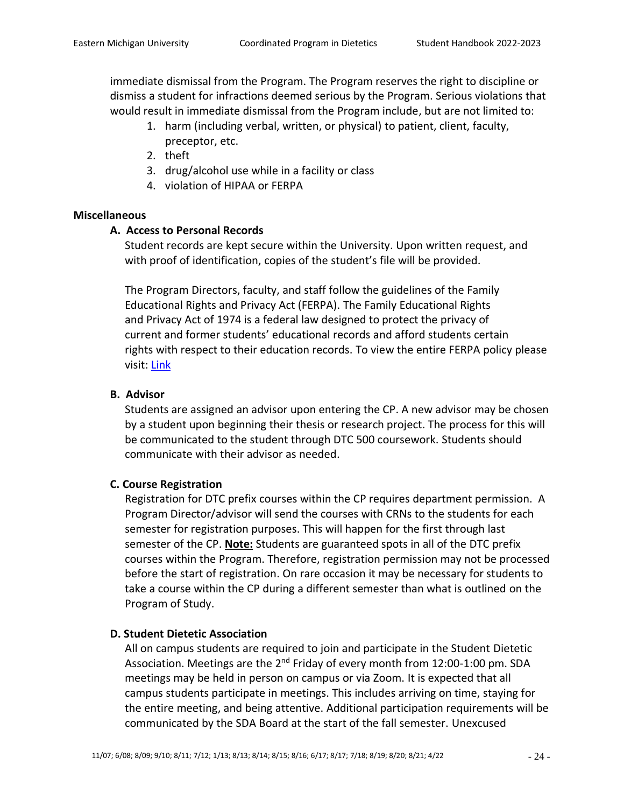immediate dismissal from the Program. The Program reserves the right to discipline or dismiss a student for infractions deemed serious by the Program. Serious violations that would result in immediate dismissal from the Program include, but are not limited to:

- 1. harm (including verbal, written, or physical) to patient, client, faculty, preceptor, etc.
- 2. theft
- 3. drug/alcohol use while in a facility or class
- 4. violation of HIPAA or FERPA

# **Miscellaneous**

# **A. Access to Personal Records**

Student records are kept secure within the University. Upon written request, and with proof of identification, copies of the student's file will be provided.

The Program Directors, faculty, and staff follow the guidelines of the Family Educational Rights and Privacy Act (FERPA). The Family Educational Rights and Privacy Act of 1974 is a federal law designed to protect the privacy of current and former students' educational records and afford students certain rights with respect to their education records. To view the entire FERPA policy please visit: [Link](http://www.emich.edu/registrar/registration_info/ferpa.php)

# **B. Advisor**

Students are assigned an advisor upon entering the CP. A new advisor may be chosen by a student upon beginning their thesis or research project. The process for this will be communicated to the student through DTC 500 coursework. Students should communicate with their advisor as needed.

# **C. Course Registration**

Registration for DTC prefix courses within the CP requires department permission. A Program Director/advisor will send the courses with CRNs to the students for each semester for registration purposes. This will happen for the first through last semester of the CP. **Note:** Students are guaranteed spots in all of the DTC prefix courses within the Program. Therefore, registration permission may not be processed before the start of registration. On rare occasion it may be necessary for students to take a course within the CP during a different semester than what is outlined on the Program of Study.

# **D. Student Dietetic Association**

All on campus students are required to join and participate in the Student Dietetic Association. Meetings are the 2<sup>nd</sup> Friday of every month from 12:00-1:00 pm. SDA meetings may be held in person on campus or via Zoom. It is expected that all campus students participate in meetings. This includes arriving on time, staying for the entire meeting, and being attentive. Additional participation requirements will be communicated by the SDA Board at the start of the fall semester. Unexcused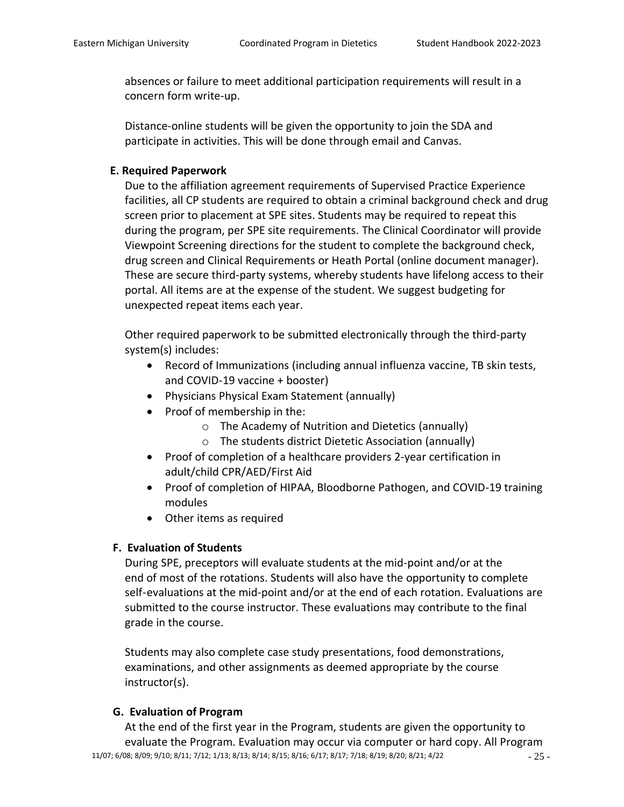absences or failure to meet additional participation requirements will result in a concern form write-up.

Distance-online students will be given the opportunity to join the SDA and participate in activities. This will be done through email and Canvas.

### **E. Required Paperwork**

Due to the affiliation agreement requirements of Supervised Practice Experience facilities, all CP students are required to obtain a criminal background check and drug screen prior to placement at SPE sites. Students may be required to repeat this during the program, per SPE site requirements. The Clinical Coordinator will provide Viewpoint Screening directions for the student to complete the background check, drug screen and Clinical Requirements or Heath Portal (online document manager). These are secure third-party systems, whereby students have lifelong access to their portal. All items are at the expense of the student. We suggest budgeting for unexpected repeat items each year.

Other required paperwork to be submitted electronically through the third-party system(s) includes:

- Record of Immunizations (including annual influenza vaccine, TB skin tests, and COVID-19 vaccine + booster)
- Physicians Physical Exam Statement (annually)
- Proof of membership in the:
	- o The Academy of Nutrition and Dietetics (annually)
	- o The students district Dietetic Association (annually)
- Proof of completion of a healthcare providers 2-year certification in adult/child CPR/AED/First Aid
- Proof of completion of HIPAA, Bloodborne Pathogen, and COVID-19 training modules
- Other items as required

# **F. Evaluation of Students**

During SPE, preceptors will evaluate students at the mid-point and/or at the end of most of the rotations. Students will also have the opportunity to complete self-evaluations at the mid-point and/or at the end of each rotation. Evaluations are submitted to the course instructor. These evaluations may contribute to the final grade in the course.

Students may also complete case study presentations, food demonstrations, examinations, and other assignments as deemed appropriate by the course instructor(s).

# **G. Evaluation of Program**

11/07; 6/08; 8/09; 9/10; 8/11; 7/12; 1/13; 8/13; 8/14; 8/15; 8/16; 6/17; 8/17; 7/18; 8/19; 8/20; 8/21; 4/22 - 25 -At the end of the first year in the Program, students are given the opportunity to evaluate the Program. Evaluation may occur via computer or hard copy. All Program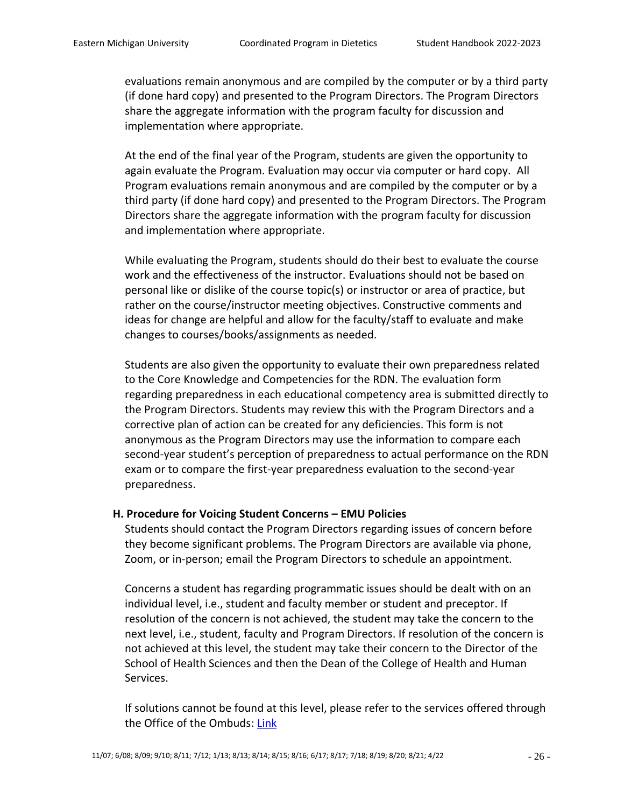evaluations remain anonymous and are compiled by the computer or by a third party (if done hard copy) and presented to the Program Directors. The Program Directors share the aggregate information with the program faculty for discussion and implementation where appropriate.

At the end of the final year of the Program, students are given the opportunity to again evaluate the Program. Evaluation may occur via computer or hard copy. All Program evaluations remain anonymous and are compiled by the computer or by a third party (if done hard copy) and presented to the Program Directors. The Program Directors share the aggregate information with the program faculty for discussion and implementation where appropriate.

While evaluating the Program, students should do their best to evaluate the course work and the effectiveness of the instructor. Evaluations should not be based on personal like or dislike of the course topic(s) or instructor or area of practice, but rather on the course/instructor meeting objectives. Constructive comments and ideas for change are helpful and allow for the faculty/staff to evaluate and make changes to courses/books/assignments as needed.

Students are also given the opportunity to evaluate their own preparedness related to the Core Knowledge and Competencies for the RDN. The evaluation form regarding preparedness in each educational competency area is submitted directly to the Program Directors. Students may review this with the Program Directors and a corrective plan of action can be created for any deficiencies. This form is not anonymous as the Program Directors may use the information to compare each second-year student's perception of preparedness to actual performance on the RDN exam or to compare the first-year preparedness evaluation to the second-year preparedness.

#### **H. Procedure for Voicing Student Concerns – EMU Policies**

Students should contact the Program Directors regarding issues of concern before they become significant problems. The Program Directors are available via phone, Zoom, or in-person; email the Program Directors to schedule an appointment.

Concerns a student has regarding programmatic issues should be dealt with on an individual level, i.e., student and faculty member or student and preceptor. If resolution of the concern is not achieved, the student may take the concern to the next level, i.e., student, faculty and Program Directors. If resolution of the concern is not achieved at this level, the student may take their concern to the Director of the School of Health Sciences and then the Dean of the College of Health and Human Services.

If solutions cannot be found at this level, please refer to the services offered through the Office of the Ombuds: [Link](https://www.emich.edu/ombuds/)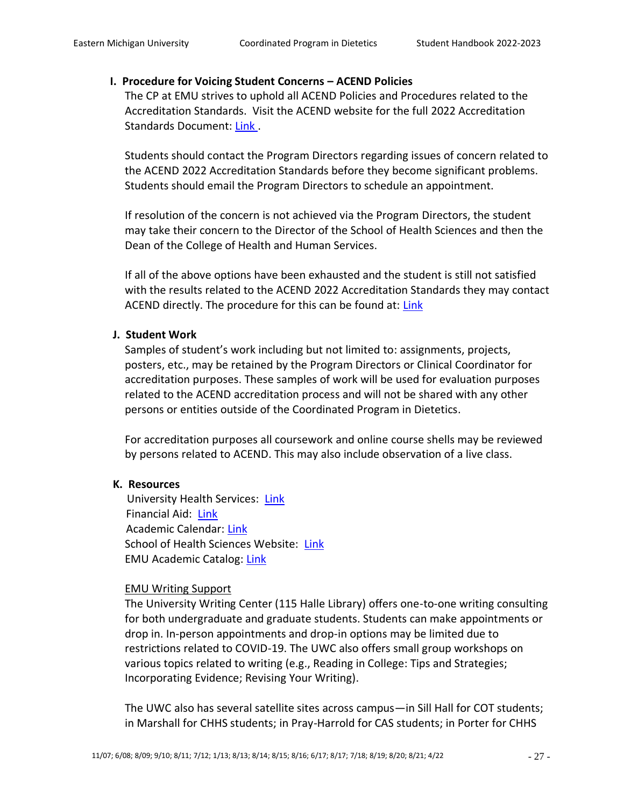### **I. Procedure for Voicing Student Concerns – ACEND Policies**

The CP at EMU strives to uphold all ACEND Policies and Procedures related to the Accreditation Standards. Visit the ACEND website for the full 2022 Accreditation Standards Document: [Link](https://www.eatrightpro.org/-/media/eatrightpro-files/acend/accreditation-standards/2022standardscp-82021.pdf?la=en&hash=589269482800D31D949A92D7A3C43800B7D06EAD) .

Students should contact the Program Directors regarding issues of concern related to the ACEND 2022 Accreditation Standards before they become significant problems. Students should email the Program Directors to schedule an appointment.

If resolution of the concern is not achieved via the Program Directors, the student may take their concern to the Director of the School of Health Sciences and then the Dean of the College of Health and Human Services.

If all of the above options have been exhausted and the student is still not satisfied with the results related to the ACEND 2022 Accreditation Standards they may contact ACEND directly. The procedure for this can be found at: [Link](https://www.eatrightpro.org/acend/public-notices-and-announcements/filing-a-complaint-with-acend)

# **J. Student Work**

Samples of student's work including but not limited to: assignments, projects, posters, etc., may be retained by the Program Directors or Clinical Coordinator for accreditation purposes. These samples of work will be used for evaluation purposes related to the ACEND accreditation process and will not be shared with any other persons or entities outside of the Coordinated Program in Dietetics.

For accreditation purposes all coursework and online course shells may be reviewed by persons related to ACEND. This may also include observation of a live class.

# **K. Resources**

University Health Services: [Link](http://www.emich.edu/uhs/) Financial Aid: [Link](http://www.emich.edu/finaid/) Academic Calendar: [Link](http://www.emich.edu/registrar/calendars/index.php) School of Health Sciences Website: [Link](https://www.emich.edu/chhs/hs/) EMU Academic Catalog: [Link](https://catalog.emich.edu/index.php)

#### EMU Writing Support

The University Writing Center (115 Halle Library) offers one-to-one writing consulting for both undergraduate and graduate students. Students can make appointments or drop in. In-person appointments and drop-in options may be limited due to restrictions related to COVID-19. The UWC also offers small group workshops on various topics related to writing (e.g., Reading in College: Tips and Strategies; Incorporating Evidence; Revising Your Writing).

The UWC also has several satellite sites across campus—in Sill Hall for COT students; in Marshall for CHHS students; in Pray-Harrold for CAS students; in Porter for CHHS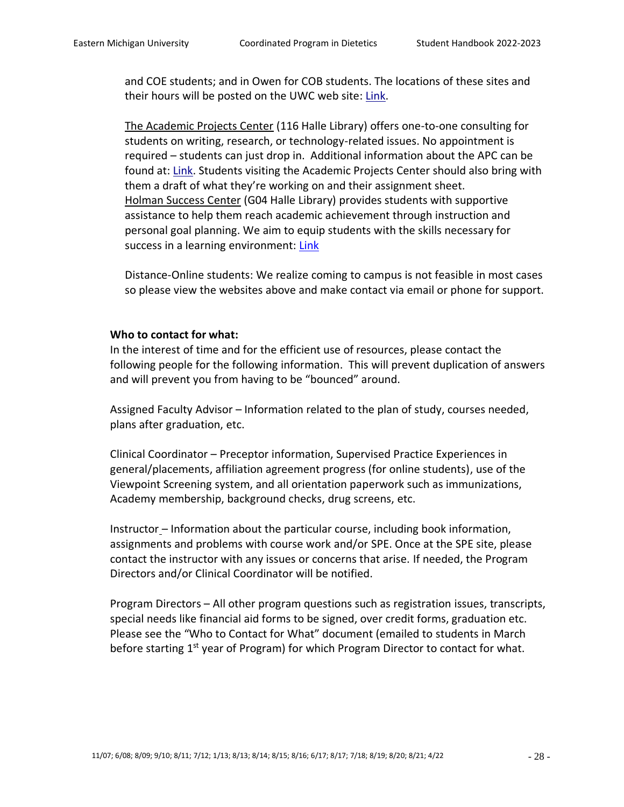and COE students; and in Owen for COB students. The locations of these sites and their hours will be posted on the UWC web site: [Link.](http://www.emich.edu/english/writing-center)

The Academic Projects Center (116 Halle Library) offers one-to-one consulting for students on writing, research, or technology-related issues. No appointment is required – students can just drop in. Additional information about the APC can be found at: [Link.](http://www.emich.edu/apc) Students visiting the Academic Projects Center should also bring with them a draft of what they're working on and their assignment sheet. Holman Success Center (G04 Halle Library) provides students with supportive assistance to help them reach academic achievement through instruction and personal goal planning. We aim to equip students with the skills necessary for success in a learning environment: [Link](https://www.emich.edu/hsc/)

Distance-Online students: We realize coming to campus is not feasible in most cases so please view the websites above and make contact via email or phone for support.

#### **Who to contact for what:**

In the interest of time and for the efficient use of resources, please contact the following people for the following information. This will prevent duplication of answers and will prevent you from having to be "bounced" around.

Assigned Faculty Advisor – Information related to the plan of study, courses needed, plans after graduation, etc.

Clinical Coordinator – Preceptor information, Supervised Practice Experiences in general/placements, affiliation agreement progress (for online students), use of the Viewpoint Screening system, and all orientation paperwork such as immunizations, Academy membership, background checks, drug screens, etc.

Instructor – Information about the particular course, including book information, assignments and problems with course work and/or SPE. Once at the SPE site, please contact the instructor with any issues or concerns that arise. If needed, the Program Directors and/or Clinical Coordinator will be notified.

Program Directors – All other program questions such as registration issues, transcripts, special needs like financial aid forms to be signed, over credit forms, graduation etc. Please see the "Who to Contact for What" document (emailed to students in March before starting 1<sup>st</sup> year of Program) for which Program Director to contact for what.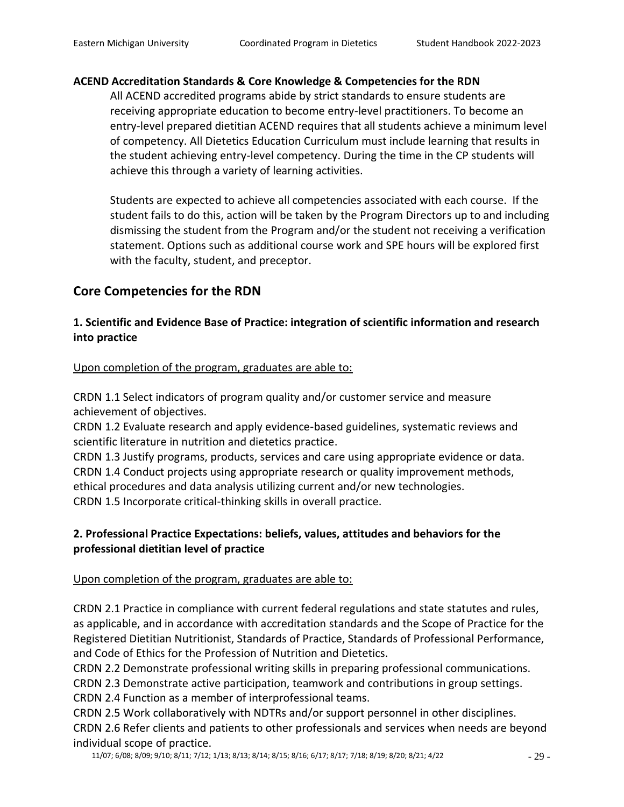# **ACEND Accreditation Standards & Core Knowledge & Competencies for the RDN**

All ACEND accredited programs abide by strict standards to ensure students are receiving appropriate education to become entry-level practitioners. To become an entry-level prepared dietitian ACEND requires that all students achieve a minimum level of competency. All Dietetics Education Curriculum must include learning that results in the student achieving entry-level competency. During the time in the CP students will achieve this through a variety of learning activities.

Students are expected to achieve all competencies associated with each course. If the student fails to do this, action will be taken by the Program Directors up to and including dismissing the student from the Program and/or the student not receiving a verification statement. Options such as additional course work and SPE hours will be explored first with the faculty, student, and preceptor.

# **Core Competencies for the RDN**

# **1. Scientific and Evidence Base of Practice: integration of scientific information and research into practice**

Upon completion of the program, graduates are able to:

CRDN 1.1 Select indicators of program quality and/or customer service and measure achievement of objectives.

CRDN 1.2 Evaluate research and apply evidence-based guidelines, systematic reviews and scientific literature in nutrition and dietetics practice.

CRDN 1.3 Justify programs, products, services and care using appropriate evidence or data. CRDN 1.4 Conduct projects using appropriate research or quality improvement methods, ethical procedures and data analysis utilizing current and/or new technologies. CRDN 1.5 Incorporate critical-thinking skills in overall practice.

# **2. Professional Practice Expectations: beliefs, values, attitudes and behaviors for the professional dietitian level of practice**

# Upon completion of the program, graduates are able to:

CRDN 2.1 Practice in compliance with current federal regulations and state statutes and rules, as applicable, and in accordance with accreditation standards and the Scope of Practice for the Registered Dietitian Nutritionist, Standards of Practice, Standards of Professional Performance, and Code of Ethics for the Profession of Nutrition and Dietetics.

CRDN 2.2 Demonstrate professional writing skills in preparing professional communications.

CRDN 2.3 Demonstrate active participation, teamwork and contributions in group settings.

CRDN 2.4 Function as a member of interprofessional teams.

CRDN 2.5 Work collaboratively with NDTRs and/or support personnel in other disciplines. CRDN 2.6 Refer clients and patients to other professionals and services when needs are beyond individual scope of practice.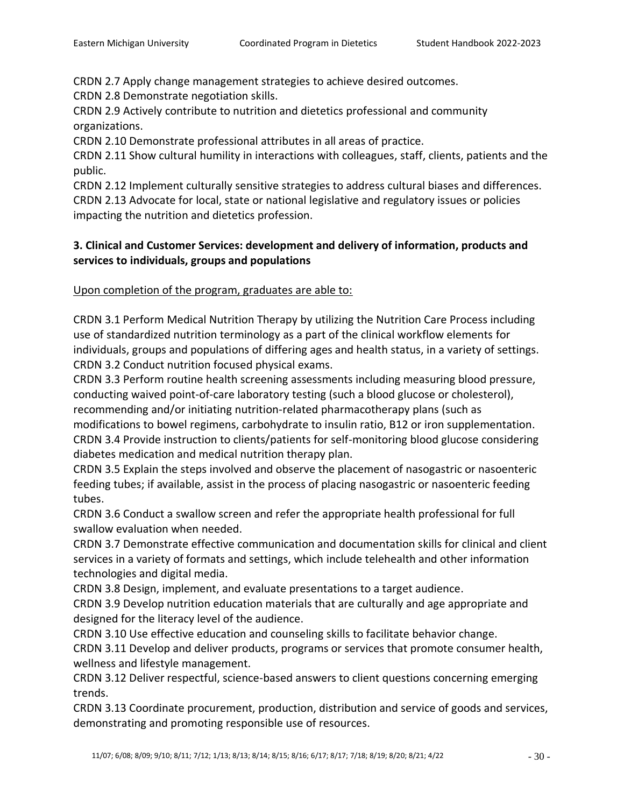CRDN 2.7 Apply change management strategies to achieve desired outcomes.

CRDN 2.8 Demonstrate negotiation skills.

CRDN 2.9 Actively contribute to nutrition and dietetics professional and community organizations.

CRDN 2.10 Demonstrate professional attributes in all areas of practice.

CRDN 2.11 Show cultural humility in interactions with colleagues, staff, clients, patients and the public.

CRDN 2.12 Implement culturally sensitive strategies to address cultural biases and differences. CRDN 2.13 Advocate for local, state or national legislative and regulatory issues or policies impacting the nutrition and dietetics profession.

# **3. Clinical and Customer Services: development and delivery of information, products and services to individuals, groups and populations**

Upon completion of the program, graduates are able to:

CRDN 3.1 Perform Medical Nutrition Therapy by utilizing the Nutrition Care Process including use of standardized nutrition terminology as a part of the clinical workflow elements for individuals, groups and populations of differing ages and health status, in a variety of settings. CRDN 3.2 Conduct nutrition focused physical exams.

CRDN 3.3 Perform routine health screening assessments including measuring blood pressure, conducting waived point-of-care laboratory testing (such a blood glucose or cholesterol), recommending and/or initiating nutrition-related pharmacotherapy plans (such as modifications to bowel regimens, carbohydrate to insulin ratio, B12 or iron supplementation. CRDN 3.4 Provide instruction to clients/patients for self-monitoring blood glucose considering diabetes medication and medical nutrition therapy plan.

CRDN 3.5 Explain the steps involved and observe the placement of nasogastric or nasoenteric feeding tubes; if available, assist in the process of placing nasogastric or nasoenteric feeding tubes.

CRDN 3.6 Conduct a swallow screen and refer the appropriate health professional for full swallow evaluation when needed.

CRDN 3.7 Demonstrate effective communication and documentation skills for clinical and client services in a variety of formats and settings, which include telehealth and other information technologies and digital media.

CRDN 3.8 Design, implement, and evaluate presentations to a target audience.

CRDN 3.9 Develop nutrition education materials that are culturally and age appropriate and designed for the literacy level of the audience.

CRDN 3.10 Use effective education and counseling skills to facilitate behavior change.

CRDN 3.11 Develop and deliver products, programs or services that promote consumer health, wellness and lifestyle management.

CRDN 3.12 Deliver respectful, science-based answers to client questions concerning emerging trends.

CRDN 3.13 Coordinate procurement, production, distribution and service of goods and services, demonstrating and promoting responsible use of resources.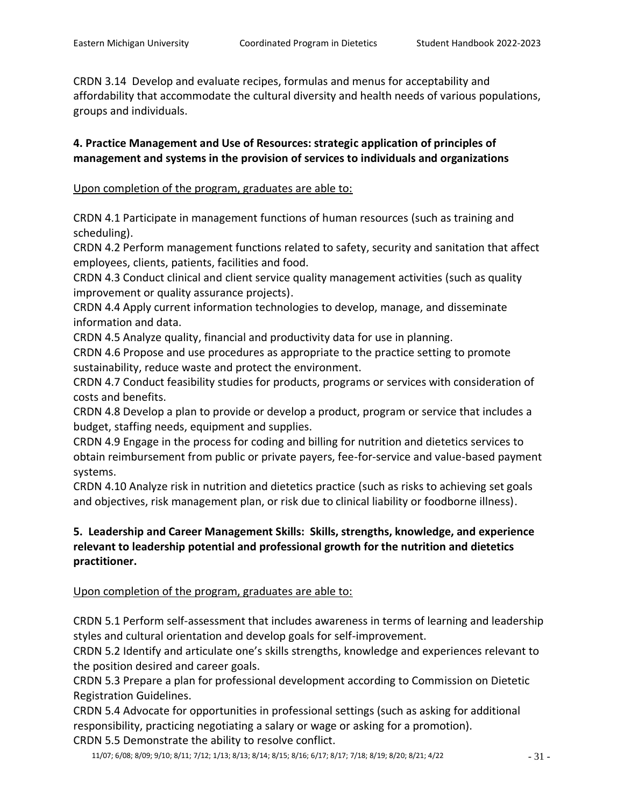CRDN 3.14 Develop and evaluate recipes, formulas and menus for acceptability and affordability that accommodate the cultural diversity and health needs of various populations, groups and individuals.

# **4. Practice Management and Use of Resources: strategic application of principles of management and systems in the provision of services to individuals and organizations**

# Upon completion of the program, graduates are able to:

CRDN 4.1 Participate in management functions of human resources (such as training and scheduling).

CRDN 4.2 Perform management functions related to safety, security and sanitation that affect employees, clients, patients, facilities and food.

CRDN 4.3 Conduct clinical and client service quality management activities (such as quality improvement or quality assurance projects).

CRDN 4.4 Apply current information technologies to develop, manage, and disseminate information and data.

CRDN 4.5 Analyze quality, financial and productivity data for use in planning.

CRDN 4.6 Propose and use procedures as appropriate to the practice setting to promote sustainability, reduce waste and protect the environment.

CRDN 4.7 Conduct feasibility studies for products, programs or services with consideration of costs and benefits.

CRDN 4.8 Develop a plan to provide or develop a product, program or service that includes a budget, staffing needs, equipment and supplies.

CRDN 4.9 Engage in the process for coding and billing for nutrition and dietetics services to obtain reimbursement from public or private payers, fee-for-service and value-based payment systems.

CRDN 4.10 Analyze risk in nutrition and dietetics practice (such as risks to achieving set goals and objectives, risk management plan, or risk due to clinical liability or foodborne illness).

# **5. Leadership and Career Management Skills: Skills, strengths, knowledge, and experience relevant to leadership potential and professional growth for the nutrition and dietetics practitioner.**

# Upon completion of the program, graduates are able to:

CRDN 5.1 Perform self-assessment that includes awareness in terms of learning and leadership styles and cultural orientation and develop goals for self-improvement.

CRDN 5.2 Identify and articulate one's skills strengths, knowledge and experiences relevant to the position desired and career goals.

CRDN 5.3 Prepare a plan for professional development according to Commission on Dietetic Registration Guidelines.

CRDN 5.4 Advocate for opportunities in professional settings (such as asking for additional responsibility, practicing negotiating a salary or wage or asking for a promotion). CRDN 5.5 Demonstrate the ability to resolve conflict.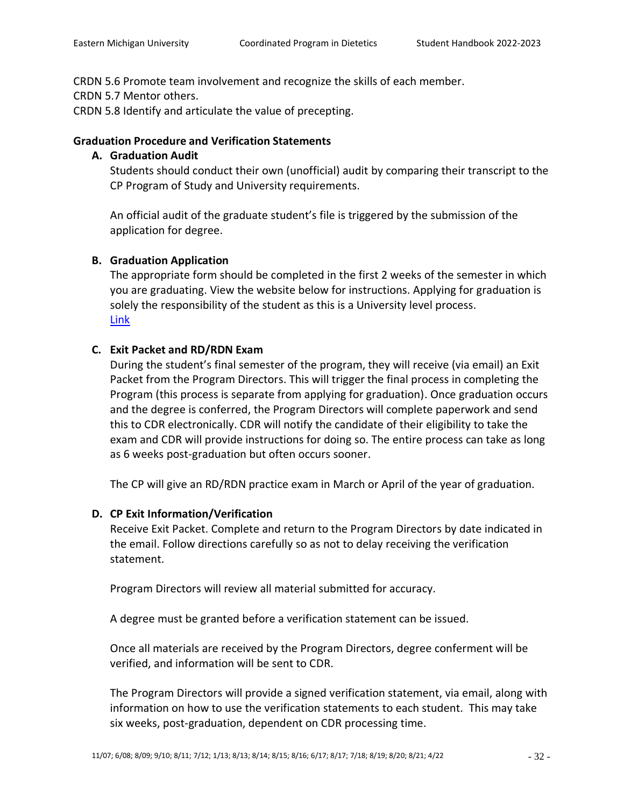CRDN 5.6 Promote team involvement and recognize the skills of each member.

CRDN 5.7 Mentor others.

CRDN 5.8 Identify and articulate the value of precepting.

# **Graduation Procedure and Verification Statements**

# **A. Graduation Audit**

Students should conduct their own (unofficial) audit by comparing their transcript to the CP Program of Study and University requirements.

An official audit of the graduate student's file is triggered by the submission of the application for degree.

# **B. Graduation Application**

The appropriate form should be completed in the first 2 weeks of the semester in which you are graduating. View the website below for instructions. Applying for graduation is solely the responsibility of the student as this is a University level process. [Link](http://www.emich.edu/registrar/graduation/)

# **C. Exit Packet and RD/RDN Exam**

During the student's final semester of the program, they will receive (via email) an Exit Packet from the Program Directors. This will trigger the final process in completing the Program (this process is separate from applying for graduation). Once graduation occurs and the degree is conferred, the Program Directors will complete paperwork and send this to CDR electronically. CDR will notify the candidate of their eligibility to take the exam and CDR will provide instructions for doing so. The entire process can take as long as 6 weeks post-graduation but often occurs sooner.

The CP will give an RD/RDN practice exam in March or April of the year of graduation.

# **D. CP Exit Information/Verification**

Receive Exit Packet. Complete and return to the Program Directors by date indicated in the email. Follow directions carefully so as not to delay receiving the verification statement.

Program Directors will review all material submitted for accuracy.

A degree must be granted before a verification statement can be issued.

Once all materials are received by the Program Directors, degree conferment will be verified, and information will be sent to CDR.

The Program Directors will provide a signed verification statement, via email, along with information on how to use the verification statements to each student. This may take six weeks, post-graduation, dependent on CDR processing time.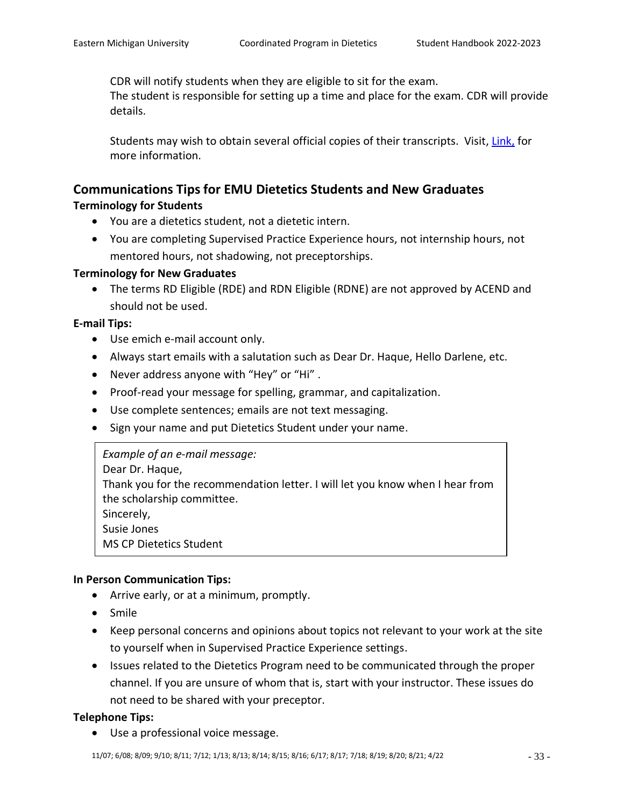CDR will notify students when they are eligible to sit for the exam.

The student is responsible for setting up a time and place for the exam. CDR will provide details.

Students may wish to obtain several official copies of their transcripts. Visit, [Link,](http://www.emich.edu/registrar/trans.htm) for more information.

# **Communications Tips for EMU Dietetics Students and New Graduates Terminology for Students**

- You are a dietetics student, not a dietetic intern.
- You are completing Supervised Practice Experience hours, not internship hours, not mentored hours, not shadowing, not preceptorships.

# **Terminology for New Graduates**

• The terms RD Eligible (RDE) and RDN Eligible (RDNE) are not approved by ACEND and should not be used.

# **E-mail Tips:**

- Use emich e-mail account only.
- Always start emails with a salutation such as Dear Dr. Haque, Hello Darlene, etc.
- Never address anyone with "Hey" or "Hi" .
- Proof-read your message for spelling, grammar, and capitalization.
- Use complete sentences; emails are not text messaging.
- Sign your name and put Dietetics Student under your name.

*Example of an e-mail message:* Dear Dr. Haque, Thank you for the recommendation letter. I will let you know when I hear from the scholarship committee. Sincerely, Susie Jones MS CP Dietetics Student

# **In Person Communication Tips:**

- Arrive early, or at a minimum, promptly.
- Smile  $\overline{\phantom{a}}$
- Keep personal concerns and opinions about topics not relevant to your work at the site to yourself when in Supervised Practice Experience settings.
- Issues related to the Dietetics Program need to be communicated through the proper channel. If you are unsure of whom that is, start with your instructor. These issues do not need to be shared with your preceptor.

# **Telephone Tips:**

• Use a professional voice message.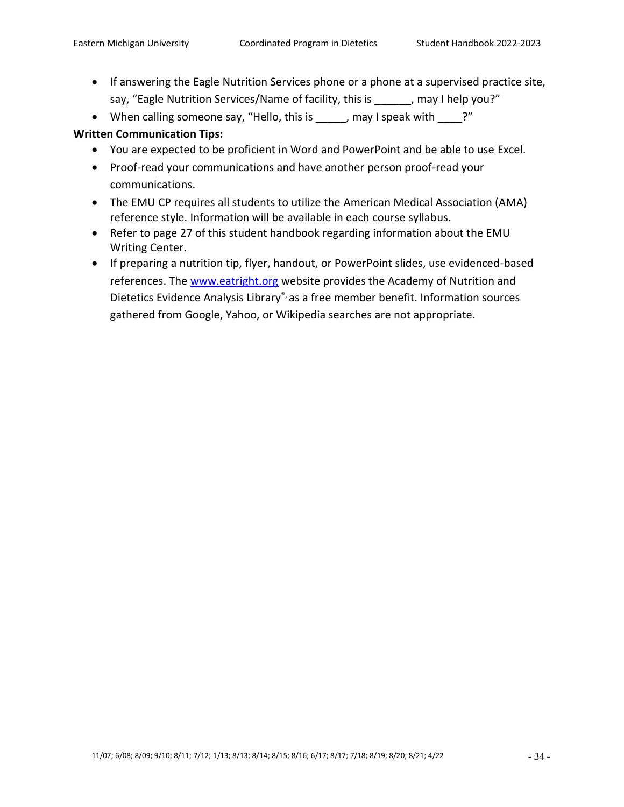- If answering the Eagle Nutrition Services phone or a phone at a supervised practice site, say, "Eagle Nutrition Services/Name of facility, this is early may I help you?"
- When calling someone say, "Hello, this is \_\_\_\_\_, may I speak with \_\_\_\_?"

# **Written Communication Tips:**

- You are expected to be proficient in Word and PowerPoint and be able to use Excel.
- Proof-read your communications and have another person proof-read your communications.
- The EMU CP requires all students to utilize the American Medical Association (AMA) reference style. Information will be available in each course syllabus.
- Refer to page 27 of this student handbook regarding information about the EMU Writing Center.
- If preparing a nutrition tip, flyer, handout, or PowerPoint slides, use evidenced-based references. The [www.eatright.org](http://www.eatright.org/) website provides the Academy of Nutrition and Dietetics Evidence Analysis Library® as a free member benefit. Information sources gathered from Google, Yahoo, or Wikipedia searches are not appropriate.